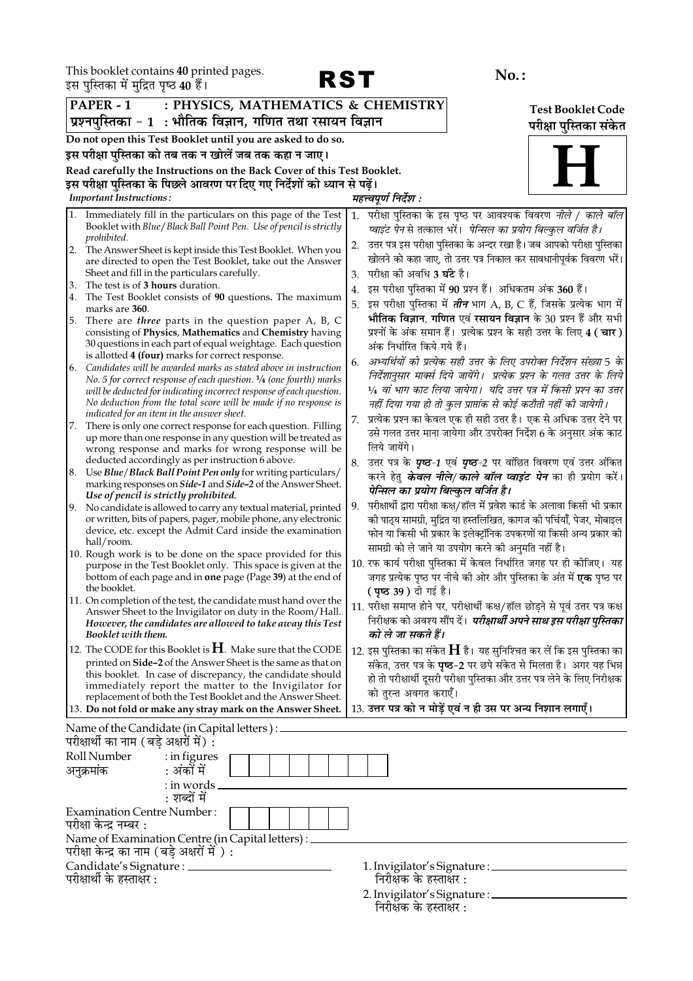This booklet contains 40 printed pages.<br>इस पस्तिका में मदित पष्ठ 40 हैं।



| इस पुलियाको में मुझित पृष्ठ <b>40</b> है।                                                                                                      |                                                                                                                                                |  |  |  |
|------------------------------------------------------------------------------------------------------------------------------------------------|------------------------------------------------------------------------------------------------------------------------------------------------|--|--|--|
| PAPER - 1<br>: PHYSICS, MATHEMATICS & CHEMISTRY<br><b>Test Booklet Code</b>                                                                    |                                                                                                                                                |  |  |  |
| प्रश्नपुस्तिका - 1  : भौतिक विज्ञान, गणित तथा रसायन विज्ञान                                                                                    | परीक्षा पुस्तिका संकेत                                                                                                                         |  |  |  |
| Do not open this Test Booklet until you are asked to do so.                                                                                    |                                                                                                                                                |  |  |  |
| इस परीक्षा पुस्तिका को तब तक न खोलें जब तक कहा न जाए।                                                                                          |                                                                                                                                                |  |  |  |
| Read carefully the Instructions on the Back Cover of this Test Booklet.                                                                        |                                                                                                                                                |  |  |  |
| इस परीक्षा पुस्तिका के पिछले आवरण पर दिए गए निर्देशों को ध्यान से पढ़ें।                                                                       |                                                                                                                                                |  |  |  |
| <b>Important Instructions:</b>                                                                                                                 | महत्त्वपूर्ण निर्देश :                                                                                                                         |  |  |  |
| Immediately fill in the particulars on this page of the Test<br>1.<br>Booklet with Blue / Black Ball Point Pen. Use of pencil is strictly      | परीक्षा पुस्तिका के इस पृष्ठ पर आवश्यक विवरण <i>नीले / काले बॉल</i><br>1.<br>प्वाइंट पेन से तत्काल भरें।  पेन्सिल का प्रयोग बिल्कुल वर्जित है। |  |  |  |
| prohibited.<br>The Answer Sheet is kept inside this Test Booklet. When you<br>2.                                                               | उत्तर पत्र इस परीक्षा पुस्तिका के अन्दर रखा है। जब आपको परीक्षा पुस्तिका<br>2.                                                                 |  |  |  |
| are directed to open the Test Booklet, take out the Answer                                                                                     | खोलने को कहा जाए, तो उत्तर पत्र निकाल कर सावधानीपूर्वक विवरण भरें।                                                                             |  |  |  |
| Sheet and fill in the particulars carefully.                                                                                                   | परीक्षा को अवधि <b>3 घंटे</b> है।<br>3.                                                                                                        |  |  |  |
| The test is of 3 hours duration.<br>3.<br>The Test Booklet consists of 90 questions. The maximum<br>4.                                         | इस परीक्षा पुस्तिका में 90 प्रश्न हैं। अधिकतम अंक 360 हैं।<br>4.                                                                               |  |  |  |
| marks are 360.                                                                                                                                 | इस परीक्षा पुस्तिका में <i>तीन</i> भाग A, B, C हैं, जिसके प्रत्येक भाग में<br>5.                                                               |  |  |  |
| There are <i>three</i> parts in the question paper A, B, C<br>5.                                                                               | भौतिक विज्ञान, गणित एवं रसायन विज्ञान के 30 प्रश्न हैं और सभी                                                                                  |  |  |  |
| consisting of Physics, Mathematics and Chemistry having<br>30 questions in each part of equal weightage. Each question                         | प्रश्नों के अंक समान हैं। प्रत्येक प्रश्न के सही उत्तर के लिए 4 ( चार )<br>अंक निर्धारित किये गये हैं।                                         |  |  |  |
| is allotted 4 (four) marks for correct response.<br>Candidates will be awarded marks as stated above in instruction<br>6.                      | अभ्यर्थियों को प्रत्येक सही उत्तर के लिए उपरोक्त निर्देशन संख्या 5 के<br>6.                                                                    |  |  |  |
| No. 5 for correct response of each question. <sup>1</sup> /4 (one fourth) marks                                                                | निर्देशानुसार मार्क्स दिये जायेंगे।  प्रत्येक प्रश्न के गलत उत्तर के लिये                                                                      |  |  |  |
| will be deducted for indicating incorrect response of each question.                                                                           | 1⁄4 वां भाग काट लिया जायेगा।  यदि उत्तर पत्र में किसी प्रश्न का उत्तर                                                                          |  |  |  |
| No deduction from the total score will be made if no response is<br>indicated for an item in the answer sheet.                                 | नहीं दिया गया हो तो कुल प्राप्तांक से कोई कटौती नहीं की जायेगी।                                                                                |  |  |  |
| There is only one correct response for each question. Filling<br>17.                                                                           | प्रत्येक प्रश्न का केवल एक ही सही उत्तर है। एक से अधिक उत्तर देने पर<br>7.                                                                     |  |  |  |
| up more than one response in any question will be treated as<br>wrong response and marks for wrong response will be                            | उसे गलत उत्तर माना जायेगा और उपरोक्त निर्देश 6 के अनुसार अंक काट<br>लिये जायेंगे।                                                              |  |  |  |
| deducted accordingly as per instruction 6 above.                                                                                               | 8. उत्तर पत्र के <b>पृष्ठ-1</b> एवं <b>पृष्ठ-2</b> पर वांछित विवरण एवं उत्तर अंकित                                                             |  |  |  |
| Use Blue/Black Ball Point Pen only for writing particulars/<br>8.<br>marking responses on <i>Side-1</i> and <i>Side-2</i> of the Answer Sheet. | करने हेतु <i>केवल नीले/ काले बॉल प्वाइंट पेन</i> का ही प्रयोग करें।<br>पेन्सिल का प्रयोग बिल्कुल वर्जित है।                                    |  |  |  |
| Use of pencil is strictly prohibited.                                                                                                          | परीक्षार्थी द्वारा परीक्षा कक्ष/हॉल में प्रवेश कार्ड के अलावा किसी भी प्रकार<br>9.                                                             |  |  |  |
| 9. No candidate is allowed to carry any textual material, printed<br>or written, bits of papers, pager, mobile phone, any electronic           | की पाठ्य सामग्री, मुद्रित या हस्तलिखित, कागज की पर्चियाँ, पेजर, मोबाइल                                                                         |  |  |  |
| device, etc. except the Admit Card inside the examination                                                                                      | फोन या किसी भी प्रकार के इलेक्ट्रॉनिक उपकरणों या किसी अन्य प्रकार की                                                                           |  |  |  |
| hall/room.                                                                                                                                     | सामग्री को ले जाने या उपयोग करने की अनुमति नहीं है।                                                                                            |  |  |  |
| 10. Rough work is to be done on the space provided for this<br>purpose in the Test Booklet only. This space is given at the                    | 10. रफ कार्य परीक्षा पुस्तिका में केवल निर्धारित जगह पर ही कोजिए। यह                                                                           |  |  |  |
| bottom of each page and in one page (Page 39) at the end of<br>the booklet.                                                                    | जगह प्रत्येक पृष्ठ पर नीचे की ओर और पुस्तिका के अंत में <b>एक</b> पृष्ठ पर<br>( <b>पृष्ठ 39)</b> दी गई है।                                     |  |  |  |
| 11. On completion of the test, the candidate must hand over the                                                                                | 11. परीक्षा समाप्त होने पर, परीक्षार्थी कक्ष/हॉल छोड़ने से पूर्व उत्तर पत्र कक्ष                                                               |  |  |  |
| Answer Sheet to the Invigilator on duty in the Room/Hall.<br>However, the candidates are allowed to take away this Test<br>Booklet with them.  | निरीक्षक को अवश्य सौंप दें। <i>परीक्षार्थी अपने साथ इस परीक्षा पुस्तिका</i><br>को ले जा सकते हैं।                                              |  |  |  |
| 12. The CODE for this Booklet is $H$ . Make sure that the CODE                                                                                 | 12. इस पुस्तिका का संकेत $\bf H$ है। यह सुनिश्चित कर लें कि इस पुस्तिका का                                                                     |  |  |  |
| printed on Side-2 of the Answer Sheet is the same as that on                                                                                   | संकेत, उत्तर पत्र के <b>पृष्ठ-2</b> पर छपे संकेत से मिलता है। अगर यह भिन्न                                                                     |  |  |  |
| this booklet. In case of discrepancy, the candidate should                                                                                     | हो तो परीक्षार्थी दूसरी परीक्षा पुस्तिका और उत्तर पत्र लेने के लिए निरीक्षक                                                                    |  |  |  |
| immediately report the matter to the Invigilator for<br>replacement of both the Test Booklet and the Answer Sheet.                             | को तुरन्त अवगत कराएँ।                                                                                                                          |  |  |  |
| 13. Do not fold or make any stray mark on the Answer Sheet.                                                                                    | 13. उत्तर पत्र को न मोड़ें एवं न ही उस पर अन्य निशान लगाएँ।                                                                                    |  |  |  |
| Name of the Candidate (in Capital letters) : _                                                                                                 |                                                                                                                                                |  |  |  |
| परीक्षार्थी का नाम (बड़े अक्षरों में) :                                                                                                        |                                                                                                                                                |  |  |  |
| Roll Number<br>: in figures<br>: अंकों में<br>अनुक्रमांक                                                                                       |                                                                                                                                                |  |  |  |
| : in words<br>: शब्दों में                                                                                                                     |                                                                                                                                                |  |  |  |
| <b>Examination Centre Number:</b>                                                                                                              |                                                                                                                                                |  |  |  |
| परीक्षा केन्द्र नम्बर :                                                                                                                        |                                                                                                                                                |  |  |  |
| Name of Examination Centre (in Capital letters) :<br>परीक्षा केन्द्र का नाम (बड़े अक्षरों में ) :                                              |                                                                                                                                                |  |  |  |
| Candidate's Signature : _______                                                                                                                | 1. Invigilator's Signature : ____                                                                                                              |  |  |  |
| परीक्षार्थी के हस्ताक्षर :                                                                                                                     | निरीक्षक के हस्ताक्षर :                                                                                                                        |  |  |  |

2. Invigilator's Signature : \_\_\_\_\_\_\_\_\_\_<br>निरीक्षक के हस्ताक्षर :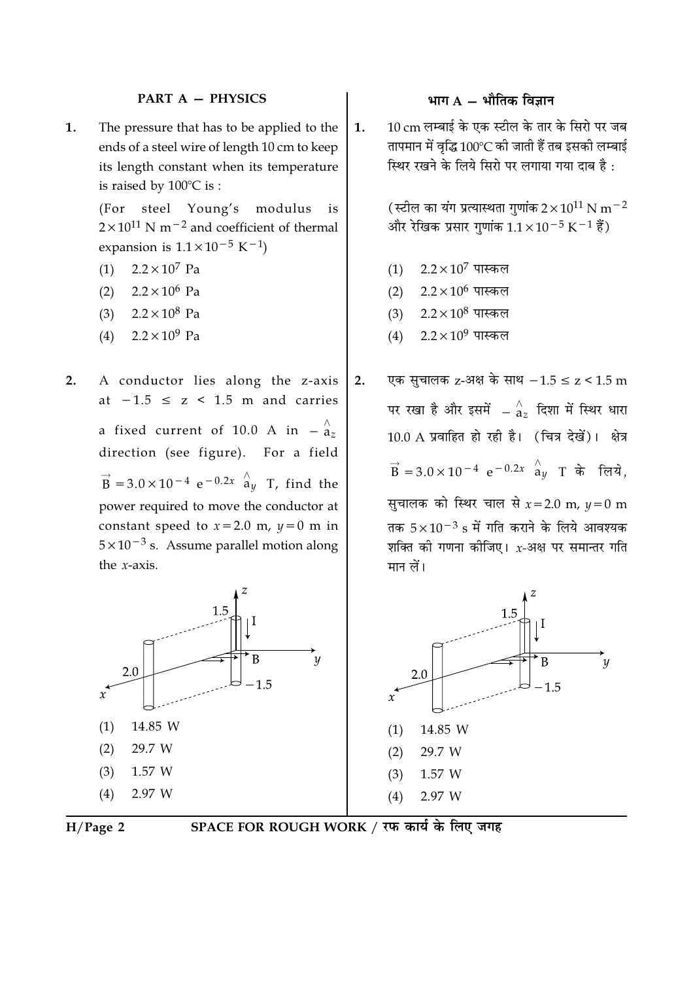### **PART A - PHYSICS**

The pressure that has to be applied to the 1. ends of a steel wire of length 10 cm to keep its length constant when its temperature is raised by  $100^{\circ}$ C is:

> (For steel Young's modulus is  $2 \times 10^{11}$  N m<sup>-2</sup> and coefficient of thermal expansion is  $1.1 \times 10^{-5}$  K<sup>-1</sup>)

- $2.2 \times 10^7$  Pa  $(1)$
- $2.2 \times 10^6$  Pa  $(2)$
- (3)  $2.2 \times 10^8$  Pa
- $2.2 \times 10^9$  Pa  $(4)$
- $2.$ A conductor lies along the z-axis at  $-1.5 \le z \le 1.5$  m and carries a fixed current of 10.0 A in  $-\frac{\lambda}{a_z}$ direction (see figure). For a field  $\vec{B}$  = 3.0 × 10<sup>-4</sup> e<sup>-0.2x</sup>  $\hat{a}_y$  T, find the power required to move the conductor at constant speed to  $x = 2.0$  m,  $y = 0$  m in  $5 \times 10^{-3}$  s. Assume parallel motion along the  $x$ -axis.





# SPACE FOR ROUGH WORK / रफ कार्य के लिए जगह

### भाग  $A - \hat{A}$ मीतिक विज्ञान

10 cm लम्बाई के एक स्टील के तार के सिरो पर जब 1. तापमान में वृद्धि 100°C की जाती हैं तब इसकी लम्बाई स्थिर रखने के लिये सिरो पर लगाया गया दाब है:

> (स्टील का यंग प्रत्यास्थता गुणांक  $2 \times 10^{11}$  N m $^{-2}$ और रेखिक प्रसार गुणांक  $1.1 \times 10^{-5}$  K $^{-1}$  हैं)

- $2.2\times10^7$  पास्कल  $(1)$
- $2.2\times10^6$  पास्कल  $(2)$
- $2.2\times10^{8}$  पास्कल  $(3)$
- $2.2\times10^9$  पास्कल  $(4)$
- एक सुचालक z-अक्ष के साथ  $-1.5 \le z < 1.5$  m  $2.$ पर रखा है और इसमें  $-\mathop{^\wedge}_{\mathop{a_{z}}}$  दिशा में स्थिर धारा 10.0 A प्रवाहित हो रही है। (चित्र देखें)। क्षेत्र  $\vec{B}$  = 3.0 × 10<sup>-4</sup> e<sup>-0.2x</sup>  $\hat{a}_y$  T के लिये,

सुचालक को स्थिर चाल से  $x=2.0$  m,  $y=0$  m तक  $5 \times 10^{-3}$  s में गति कराने के लिये आवश्यक शक्ति की गणना कीजिए। x-अक्ष पर समान्तर गति मान लें।

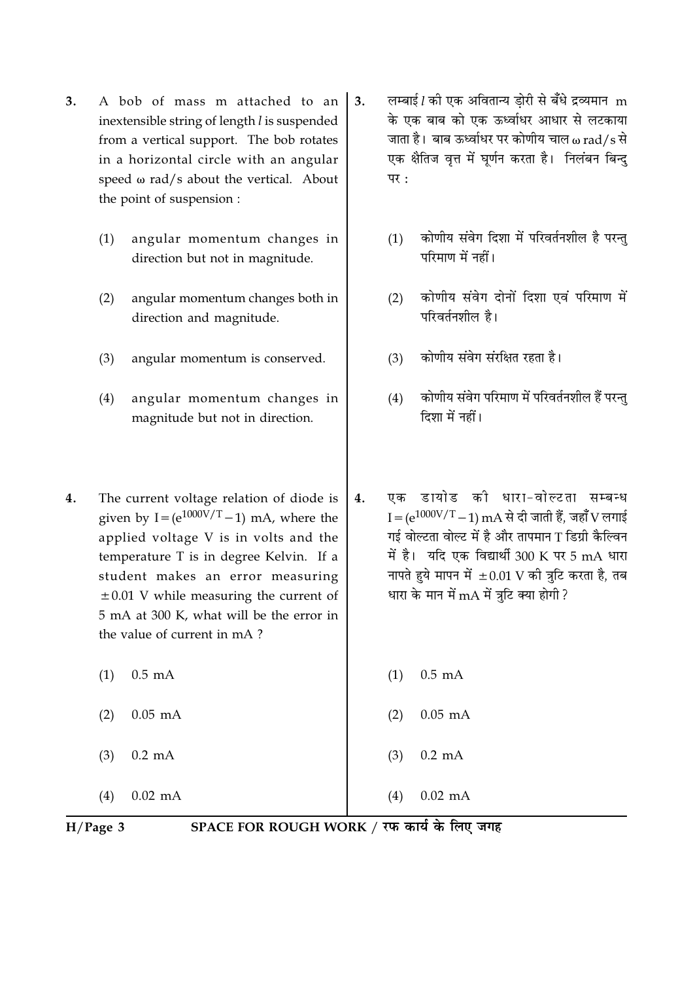- $3.$ A bob of mass m attached to an inextensible string of length l is suspended from a vertical support. The bob rotates in a horizontal circle with an angular speed  $\omega$  rad/s about the vertical. About the point of suspension :
	- angular momentum changes in  $(1)$ direction but not in magnitude.
	- $(2)$ angular momentum changes both in direction and magnitude.
	- $(3)$ angular momentum is conserved.
	- $(4)$ angular momentum changes in magnitude but not in direction.
- $\overline{4}$ . The current voltage relation of diode is given by  $I = (e^{1000V/T} - 1)$  mA, where the applied voltage V is in volts and the temperature T is in degree Kelvin. If a student makes an error measuring  $\pm 0.01$  V while measuring the current of 5 mA at 300 K, what will be the error in the value of current in mA?
	- $0.5 \text{ mA}$  $(1)$
	- $0.05$  mA  $(2)$
	- $(3)$  $0.2 \text{ mA}$

 $0.02$  mA  $(4)$ 

- लम्बाई ! की एक अवितान्य डोरी से बँधे द्रव्यमान m  $3.$ के एक बाब को एक ऊर्ध्वाधर आधार से लटकाया जाता है। बाब ऊर्ध्वाधर पर कोणीय चाल w rad/s से एक क्षैतिज वृत्त में घूर्णन करता है। निलंबन बिन्दु  $\overline{u}$   $\overline{v}$ :
	- कोणीय संवेग दिशा में परिवर्तनशील है परन्तु  $(1)$ परिमाण में नहीं।
	- कोणीय संवेग दोनों दिशा एवं परिमाण में  $(2)$ परिवर्तनशील है।
	- कोणीय संवेग संरक्षित रहता है।  $(3)$
	- कोणीय संवेग परिमाण में परिवर्तनशील हैं परन्तु  $(4)$ दिशा में नहीं।
- एक डायोड की धारा-वोल्टता सम्बन्ध  $\overline{4}$ .  $I = (e^{1000V/T} - 1)$  mA से दी जाती हैं. जहाँ V लगाई गई वोल्टता वोल्ट में है और तापमान T डिग्री कैल्विन में है। यदि एक विद्यार्थी 300 K पर 5 mA धारा नापते हुये मापन में  $\pm 0.01$  V की त्रुटि करता है, तब धारा के मान में mA में त्रुटि क्या होगी ?
	- $0.5$  mA  $(1)$
	- $0.05$  mA  $(2)$
	- $0.2 \text{ mA}$  $(3)$

 $0.02$  mA  $(4)$ 

 $H/Page$  3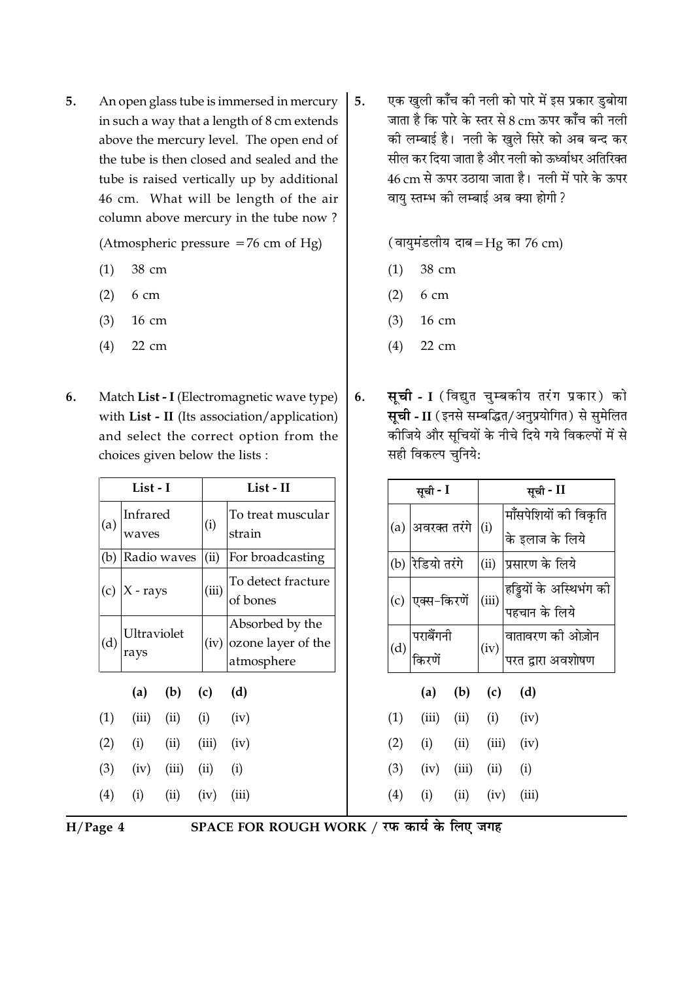5. An open glass tube is immersed in mercury in such a way that a length of 8 cm extends above the mercury level. The open end of the tube is then closed and sealed and the tube is raised vertically up by additional 46 cm. What will be length of the air column above mercury in the tube now?

(Atmospheric pressure  $=76$  cm of Hg)

- 38 cm  $(1)$
- $(2)$ 6 cm
- $(3)$  $16 \text{ cm}$
- $(4)$ 22 cm
- $6.$ Match List - I (Electromagnetic wave type) with List - II (Its association/application) and select the correct option from the choices given below the lists :

| List - I |                      |                             |       | List - II                                                  |  |  |
|----------|----------------------|-----------------------------|-------|------------------------------------------------------------|--|--|
| (a)      | Infrared<br>waves    |                             | (i)   | To treat muscular<br>strain                                |  |  |
|          | (b) Radio waves      |                             | (ii)  | For broadcasting                                           |  |  |
|          | (c) $ X - rays$      |                             | (iii) | To detect fracture<br>of bones                             |  |  |
| (d)      | Ultraviolet<br>rays  |                             |       | Absorbed by the<br>$(iv)$ ozone layer of the<br>atmosphere |  |  |
|          |                      | (a) (b) (c) (d)             |       |                                                            |  |  |
| (1)      |                      | $(iii)$ $(ii)$ $(i)$ $(iv)$ |       |                                                            |  |  |
|          | $(2)$ (i)            | $(ii)$ $(iii)$ $(iv)$       |       |                                                            |  |  |
|          | $(3)$ $(iv)$ $(iii)$ |                             | (ii)  | (i)                                                        |  |  |
| (4)      | (i)                  | $(ii)$ $(iv)$               |       | (iii)                                                      |  |  |
|          |                      |                             |       |                                                            |  |  |

एक खुली काँच की नली को पारे में इस प्रकार डुबोया 5. जाता है कि पारे के स्तर से 8 cm ऊपर कॉँच की नली की लम्बाई है। नली के खले सिरे को अब बन्द कर सील कर दिया जाता है और नली को ऊर्ध्वाधर अतिरिक्त 46 cm से ऊपर उठाया जाता है। नली में पारे के ऊपर वाय स्तम्भ की लम्बाई अब क्या होगी?

(वायुमंडलीय दाब=Hg का 76 cm)

- 38 cm  $(1)$
- $(2)$ 6 cm
- $(3)$ 16 cm
- $(4)$ 22 cm
- **सूची I** (विद्युत चुम्बकीय तरंग प्रकार) को 6. सूची - II (इनसे सम्बद्धित/अनुप्रयोगित) से सुमेलित कीजिये और सूचियों के नीचे दिये गये विकल्पों में से सही विकल्प चनिये:

|     | सूची - I                |       |               | सूची - II                                |
|-----|-------------------------|-------|---------------|------------------------------------------|
| (a) | अवरक्त तरंगे            |       | (i)           | मॉँसपेशियों की विकृति<br>के इलाज के लिये |
| (b) | रेडियो तरंगे            |       | (ii)          | प्रसारण के लिये                          |
| (c) | एक्स-किरणें             |       | (iii)         | हड्डियों के अस्थिभंग की<br>पहचान के लिये |
| (d) | परा <mark>बेंगनी</mark> |       | (iv)          | वातावरण की ओज़ोन<br>परत द्वारा अवशोषण    |
|     |                         |       |               | (a) (b) (c) (d)                          |
| (1) |                         |       |               | (iii) (ii) (i) (iv)                      |
| (2) | (i)                     |       |               | $(ii)$ $(iii)$ $(iv)$                    |
| (3) | (iv)                    | (iii) | (ii)          | (i)                                      |
| (4) | (i)                     |       | $(ii)$ $(iv)$ | (iii)                                    |

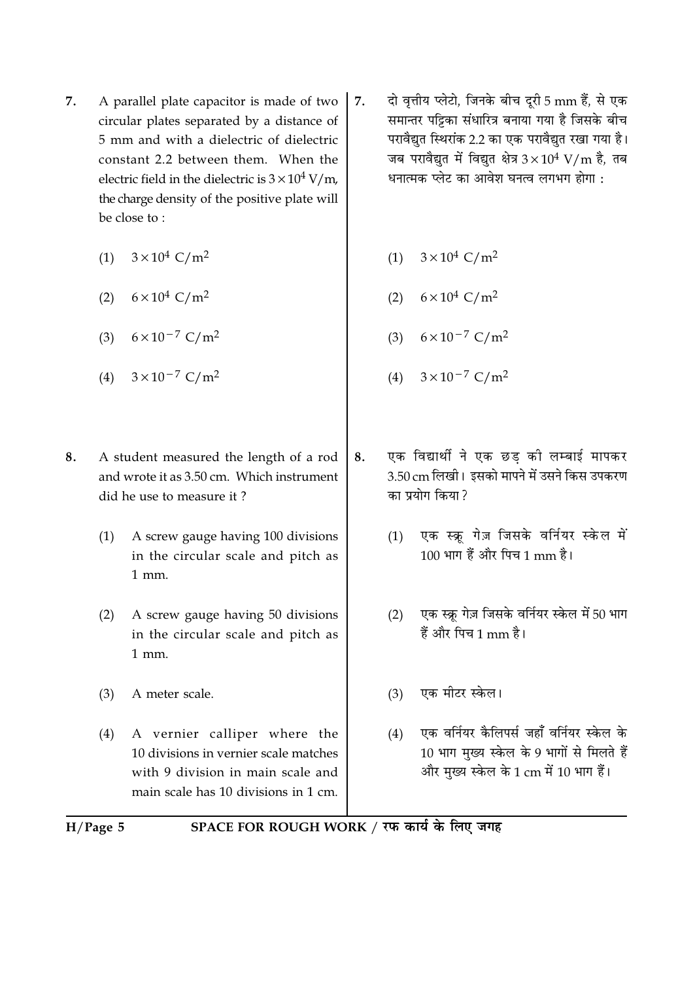- A parallel plate capacitor is made of two 7. circular plates separated by a distance of 5 mm and with a dielectric of dielectric constant 2.2 between them. When the electric field in the dielectric is  $3 \times 10^4$  V/m. the charge density of the positive plate will be close to:
	- (1)  $3 \times 10^4$  C/m<sup>2</sup>
	- (2)  $6 \times 10^4$  C/m<sup>2</sup>
	- (3)  $6 \times 10^{-7}$  C/m<sup>2</sup>
	- (4)  $3 \times 10^{-7}$  C/m<sup>2</sup>
- 8. A student measured the length of a rod and wrote it as 3.50 cm. Which instrument did he use to measure it?
	- A screw gauge having 100 divisions  $(1)$ in the circular scale and pitch as  $1$  mm.
	- $(2)$ A screw gauge having 50 divisions in the circular scale and pitch as  $1$  mm.
	- $(3)$ A meter scale.
	- A vernier calliper where the  $(4)$ 10 divisions in vernier scale matches with 9 division in main scale and main scale has 10 divisions in 1 cm.
- दो वृत्तीय प्लेटो, जिनके बीच दूरी 5 mm हैं, से एक  $7.$ समान्तर पट्टिका संधारित्र बनाया गया है जिसके बीच परावैद्यत स्थिरांक 2.2 का एक परावैद्यत रखा गया है। जब परावैद्युत में विद्युत क्षेत्र  $3 \times 10^4$  V/m है, तब धनात्मक प्लेट का आवेश घनत्व लगभग होगा :
	- (1)  $3 \times 10^4$  C/m<sup>2</sup>
	- (2)  $6 \times 10^4$  C/m<sup>2</sup>
	- (3)  $6 \times 10^{-7}$  C/m<sup>2</sup>
	- (4)  $3 \times 10^{-7}$  C/m<sup>2</sup>
- एक विद्यार्थी ने एक छड की लम्बाई मापकर 8. 3.50 cm लिखी। इसको मापने में उसने किस उपकरण का प्रयोग किया?
	- एक स्क्रू गेज़ जिसके वर्नियर स्केल में  $(1)$ 100 भाग हैं और पिच 1 mm है।
	- $(2)$ एक स्क्रू गेज़ जिसके वर्नियर स्केल में 50 भाग हैं और पिच 1 mm है।
	- (3) एक मीटर स्केल।
	- एक वर्नियर कैलिपर्स जहाँ वर्नियर स्केल के  $(4)$ 10 भाग मुख्य स्केल के 9 भागों से मिलते हैं और मख्य स्केल के 1 cm में 10 भाग हैं।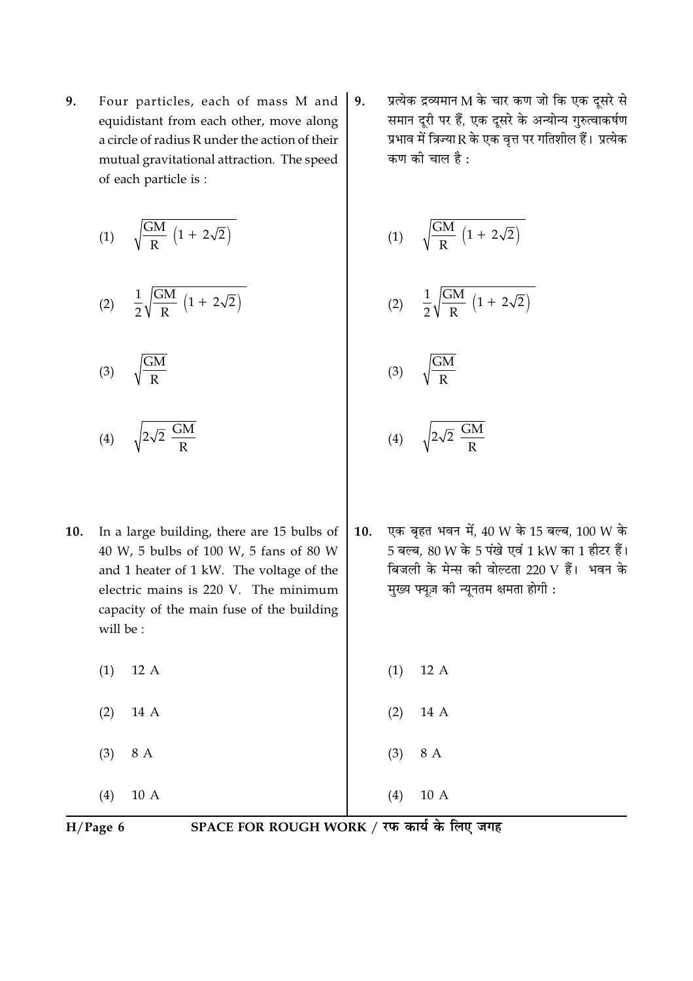9. Four particles, each of mass M and equidistant from each other, move along a circle of radius R under the action of their mutual gravitational attraction. The speed of each particle is :

$$
(1) \qquad \sqrt{\frac{GM}{R}\,\left(1+\,2\sqrt{2}\right)}
$$

$$
(2) \quad \frac{1}{2} \sqrt{\frac{GM}{R} \left(1 + 2\sqrt{2}\right)}
$$

$$
(3) \qquad \sqrt{\frac{GM}{R}}
$$

$$
(4) \qquad \sqrt{2\sqrt{2} \frac{GM}{R}}
$$

- In a large building, there are 15 bulbs of  $10.$ 40 W, 5 bulbs of 100 W, 5 fans of 80 W and 1 heater of 1 kW. The voltage of the electric mains is 220 V. The minimum capacity of the main fuse of the building will be:
	- $(1)$  $12A$
	- $(2)$ 14 A
	- 8 A  $(3)$
	- $(4)$  $10A$

प्रत्येक द्रव्यमान M के चार कण जो कि एक दूसरे से 9. समान दूरी पर हैं, एक दूसरे के अन्योन्य गुरुत्वाकर्षण प्रभाव में त्रिज्या R के एक वत्त पर गतिशील हैं। प्रत्येक कण की चाल है :

$$
(1) \qquad \sqrt{\frac{GM}{R}\,\left(1+\,2\sqrt{2}\right)}
$$

$$
(2) \quad \frac{1}{2}\sqrt{\frac{GM}{R}\,\left(1+\,2\sqrt{2}\right)}
$$

$$
(3) \qquad \sqrt{\frac{GM}{R}}
$$

- $\frac{GM}{R}$  $(4)$
- एक बहत भवन में. 40 W के 15 बल्ब. 100 W के  $10.$ 5 बल्ब, 80 W के 5 पंखे एवं 1 kW का 1 हीटर हैं। बिजली के मेन्स की वोल्टता 220 V हैं। भवन के मुख्य फ्यूज़ की न्यूनतम क्षमता होगी :
	- $12A$  $(1)$
	- $(2)$ 14 A
- $(3)$ 8 A

 $(4)$ 

 $10A$ 

 $H/Page 6$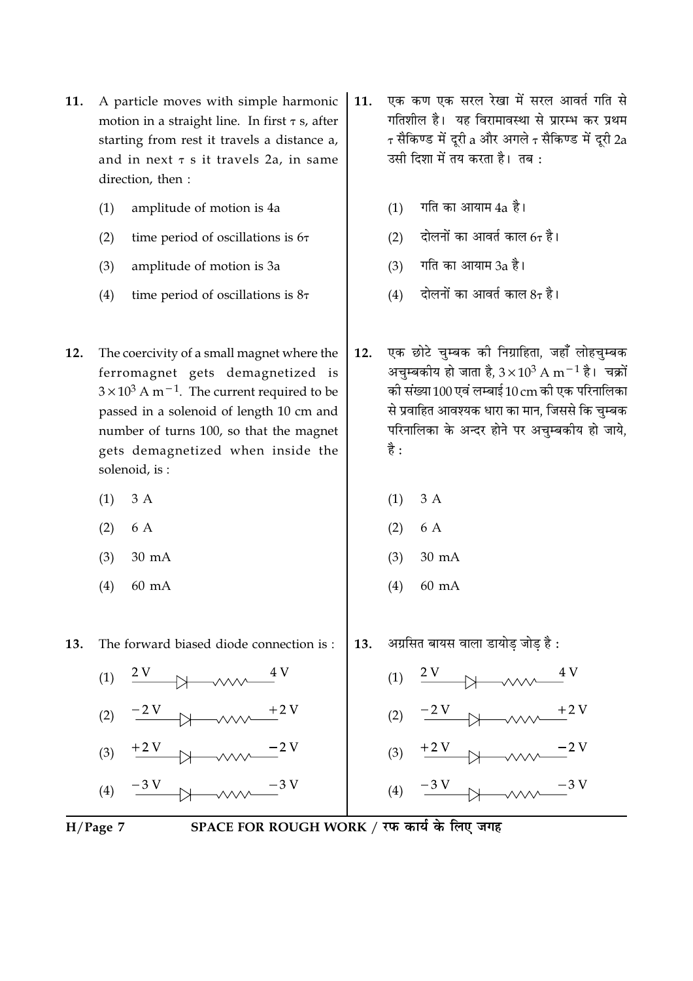- A particle moves with simple harmonic  $11.$ motion in a straight line. In first  $\tau$  s, after starting from rest it travels a distance a, and in next  $\tau$  s it travels 2a, in same direction, then:
	- $(1)$ amplitude of motion is 4a
	- $(2)$ time period of oscillations is 67
	- $(3)$ amplitude of motion is 3a
	- time period of oscillations is  $8\tau$  $(4)$
- $12.$ The coercivity of a small magnet where the ferromagnet gets demagnetized is  $3 \times 10^3$  A m<sup>-1</sup>. The current required to be passed in a solenoid of length 10 cm and number of turns 100, so that the magnet gets demagnetized when inside the solenoid, is:
	- $3A$  $(1)$
	- $(2)$ 6 A
	- $(3)$  $30 \text{ mA}$
	- $(4)$  $60 \text{ mA}$

13. The forward biased diode connection is:



- $+2V$  $(3)$
- $\frac{-3 V}{\longrightarrow}$  $(4)$
- $H/Page 7$
- $(1)$  गति का आयाम 4a है।
- (2) दोलनों का आवर्त काल 6 $\tau$  है।
- (3) गति का आयाम 3a है।
- (4) दोलनों का आवर्त काल 8 $\tau$  है।
- एक छोटे चुम्बक की निग्राहिता, जहाँ लोहचुम्बक  $12.$ अचुम्बकीय हो जाता है,  $3 \times 10^3$  A m $^{-1}$  है। चक्रों की संख्या 100 एवं लम्बाई 10 cm की एक परिनालिका से प्रवाहित आवश्यक धारा का मान, जिससे कि चम्बक परिनालिका के अन्दर होने पर अचम्बकीय हो जाये, है :
	- $(1)$  $3A$
	- $(2)$ 6 A
	- $(3)$  $30 \text{ mA}$
	- $(4)$ 60 mA
- अग्रसित बायस वाला डायोड जोड है : 13.
	- $\frac{2V}{2V}$  $(1)$
	- $\frac{-2V}{\sqrt{2\pi}}$  $(2)$
	- $(3)$
	- $(4)$
- SPACE FOR ROUGH WORK / रफ कार्य के लिए जगह

एक कण एक सरल रेखा में सरल आवर्त गति से  $11.$ गतिशील है। यह विरामावस्था से प्रारम्भ कर प्रथम  $\tau$  सैकिण्ड में दूरी a और अगले  $\tau$  सैकिण्ड में दूरी 2a उसी दिशा में तय करता है। तब: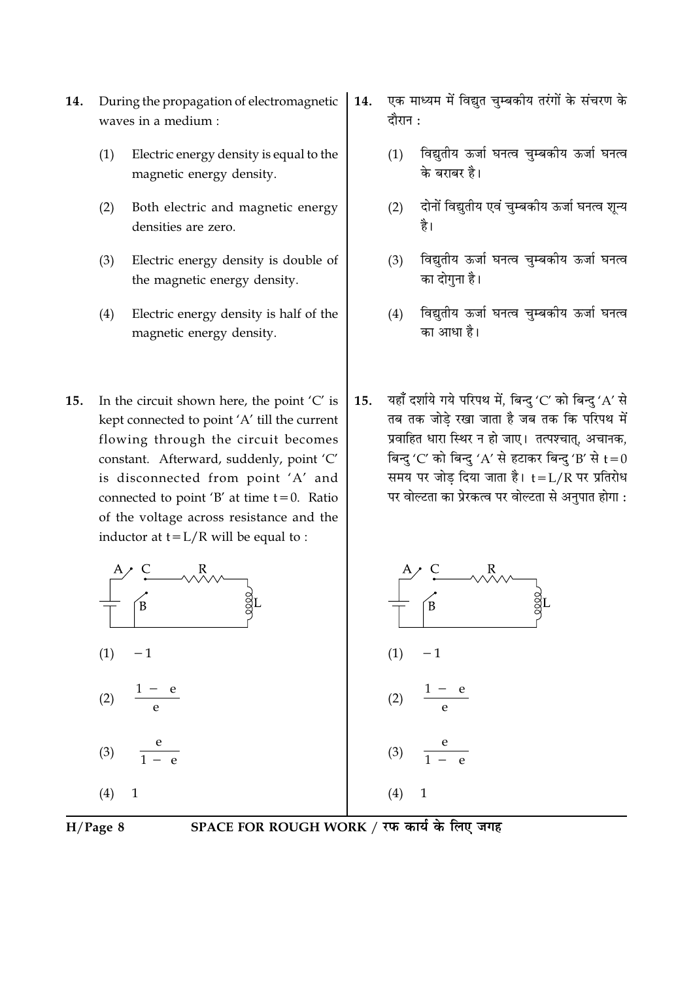- During the propagation of electromagnetic 14. waves in a medium :
	- Electric energy density is equal to the  $(1)$ magnetic energy density.
	- Both electric and magnetic energy  $(2)$ densities are zero.
	- Electric energy density is double of  $(3)$ the magnetic energy density.
	- Electric energy density is half of the  $(4)$ magnetic energy density.
- In the circuit shown here, the point 'C' is  $15.$ kept connected to point 'A' till the current flowing through the circuit becomes constant. Afterward, suddenly, point 'C' is disconnected from point 'A' and connected to point 'B' at time  $t = 0$ . Ratio of the voltage across resistance and the inductor at  $t = L/R$  will be equal to :
- एक माध्यम में विद्युत चुम्बकीय तरंगों के संचरण के 14. दौरान :
	- विद्युतीय ऊर्जा घनत्व चुम्बकीय ऊर्जा घनत्व  $(1)$ के बराबर है।
	- दोनों विद्युतीय एवं चुम्बकीय ऊर्जा घनत्व शून्य  $(2)$ है।
	- विद्युतीय ऊर्जा घनत्व चुम्बकीय ऊर्जा घनत्व  $(3)$ का दोगुना है।
	- विद्युतीय ऊर्जा घनत्व चुम्बकीय ऊर्जा घनत्व  $(4)$ का आधा है।
- यहाँ दर्शाये गये परिपथ में, बिन्दु 'C' को बिन्दु 'A' से  $15.$ तब तक जोडे रखा जाता है जब तक कि परिपथ में प्रवाहित धारा स्थिर न हो जाए। तत्पश्चात्, अचानक, बिन्दु 'C' को बिन्दु 'A' से हटाकर बिन्दु 'B' से  $t=0$ समय पर जोड दिया जाता है। t=L/R पर प्रतिरोध पर वोल्टता का प्रेरकत्व पर वोल्टता से अनुपात होगा :



 $H/Page 8$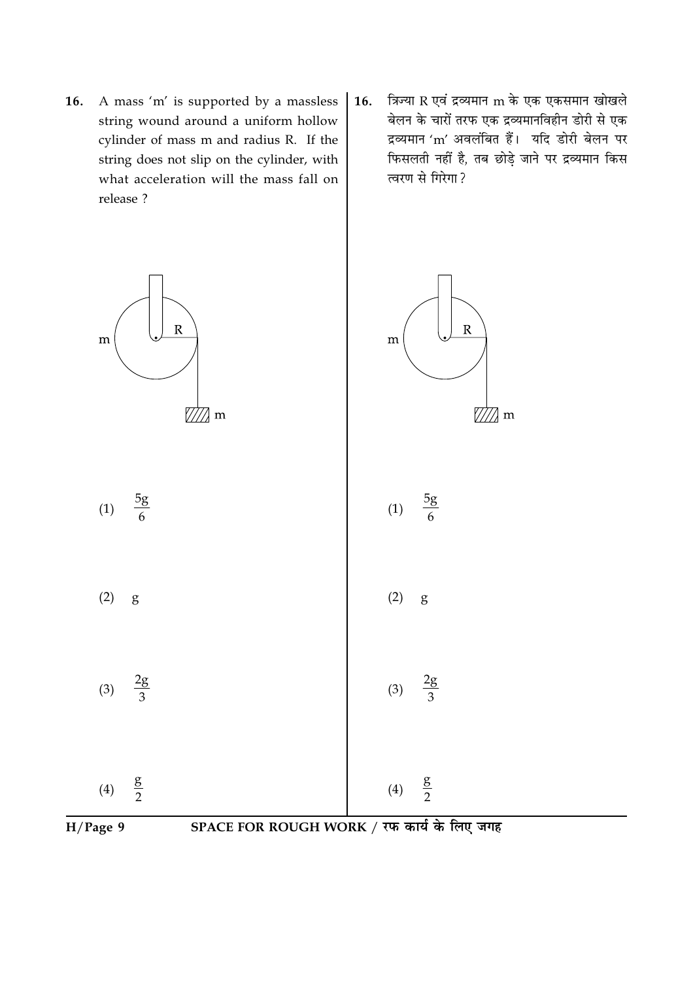- 16. A mass 'm' is supported by a massless string wound around a uniform hollow cylinder of mass m and radius R. If the string does not slip on the cylinder, with what acceleration will the mass fall on release ?
- त्रिज्या R एवं द्रव्यमान m के एक एकसमान खोखले 16. बेलन के चारों तरफ एक द्रव्यमानविहीन डोरी से एक द्रव्यमान 'm' अवलंबित हैं। यदि डोरी बेलन पर फिसलती नहीं है, तब छोड़े जाने पर द्रव्यमान किस त्वरण से गिरेगा ?

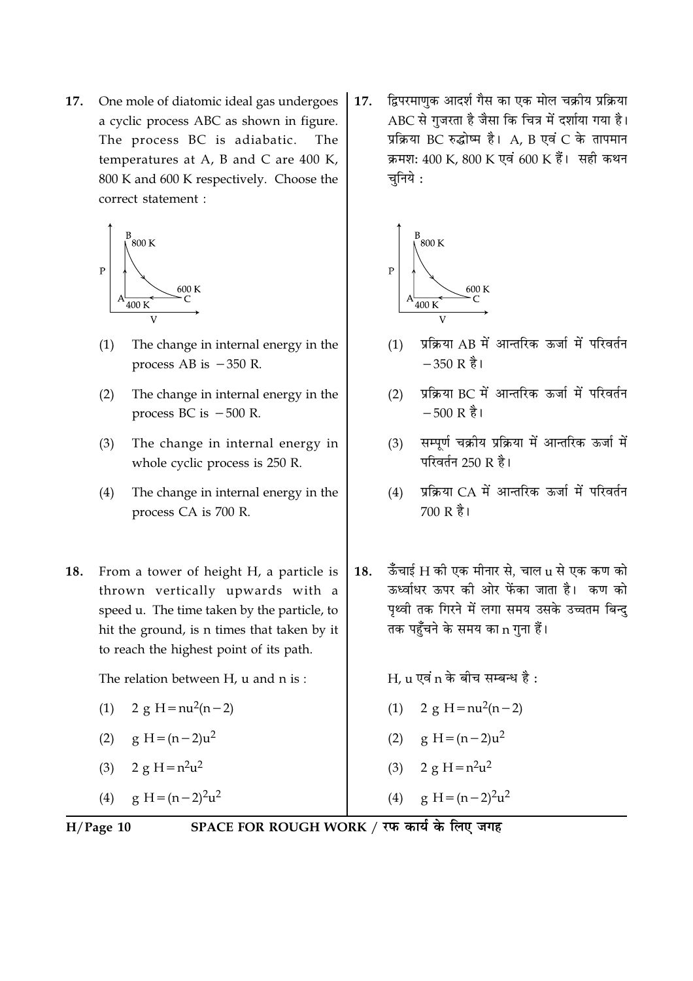17. One mole of diatomic ideal gas undergoes a cyclic process ABC as shown in figure. The process BC is adiabatic. The temperatures at A, B and C are  $400$  K, 800 K and 600 K respectively. Choose the correct statement :



- $(1)$ The change in internal energy in the process AB is  $-350$  R.
- The change in internal energy in the  $(2)$ process BC is  $-500$  R.
- The change in internal energy in  $(3)$ whole cyclic process is 250 R.
- $(4)$ The change in internal energy in the process CA is 700 R.
- From a tower of height H, a particle is **18.** thrown vertically upwards with a speed u. The time taken by the particle, to hit the ground, is n times that taken by it to reach the highest point of its path.

The relation between H, u and n is:

- $2 \text{ g H} = \frac{n u^2(n-2)}{2}$  $(1)$
- $g H = (n-2)u^2$  $(2)$
- $2 g H = n^2 u^2$  $(3)$

 $g H = (n-2)^2 u^2$  $(4)$ 

द्विपरमाणुक आदर्श गैस का एक मोल चक्रीय प्रक्रिया 17. ABC से गुजरता है जैसा कि चित्र में दर्शाया गया है। प्रक्रिया BC रुद्धोष्म है। A, B एवं C के तापमान क्रमश: 400 K, 800 K एवं 600 K हैं। सही कथन चनिये :



- प्रक्रिया AB में आन्तरिक ऊर्जा में परिवर्तन  $(1)$  $-350R$   $\frac{3}{6}$ <sub>1</sub>
- पक्रिया BC में आन्तरिक ऊर्जा में परिवर्तन  $(2)$  $-500 R$   $\frac{3}{6}$  1
- सम्पर्ण चक्रीय प्रक्रिया में आन्तरिक ऊर्जा में  $(3)$ परिवर्तन 250 R है।
- प्रक्रिया CA में आन्तरिक ऊर्जा में परिवर्तन  $(4)$ 700 R है।
- ऊँचाई H की एक मीनार से. चाल u से एक कण को 18. ऊर्ध्वाधर ऊपर की ओर फेंका जाता है। कण को पृथ्वी तक गिरने में लगा समय उसके उच्चतम बिन्दु तक पहुँचने के समय का n गुना हैं।

 $H_{\rm c}$ u एवं n के बीच सम्बन्ध है:

- (1)  $2 \text{ g } H = \text{n}u^2(n-2)$
- (2)  $g H = (n-2)u^2$
- $2 g H = n^2 u^2$  $(3)$
- $g H = (n-2)<sup>2</sup>u<sup>2</sup>$  $(4)$

 $H/Page$  10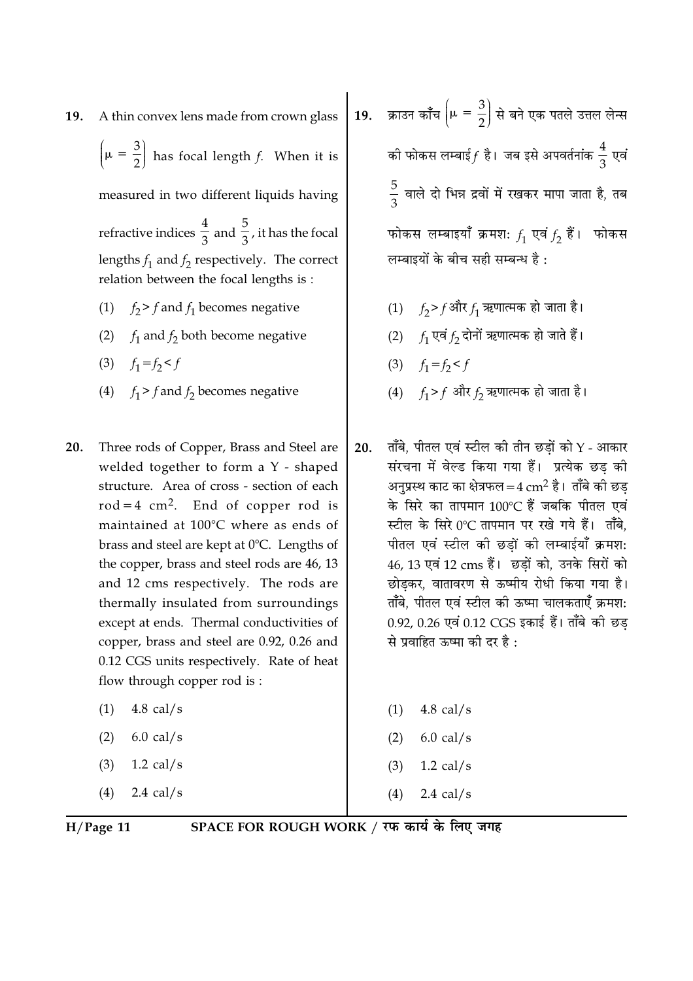A thin convex lens made from crown glass 19.

 $\left(\mu = \frac{3}{2}\right)$  has focal length f. When it is

measured in two different liquids having

refractive indices  $\frac{4}{3}$  and  $\frac{5}{3}$ , it has the focal lengths  $f_1$  and  $f_2$  respectively. The correct relation between the focal lengths is:

- $f_2$ > f and  $f_1$  becomes negative  $(1)$
- (2)  $f_1$  and  $f_2$  both become negative
- (3)  $f_1 = f_2 < f$
- (4)  $f_1 > f$  and  $f_2$  becomes negative
- Three rods of Copper, Brass and Steel are 20. welded together to form a Y - shaped structure. Area of cross - section of each  $rod = 4 cm<sup>2</sup>$ . End of copper rod is maintained at 100°C where as ends of brass and steel are kept at 0°C. Lengths of the copper, brass and steel rods are 46, 13 and 12 cms respectively. The rods are thermally insulated from surroundings except at ends. Thermal conductivities of copper, brass and steel are 0.92, 0.26 and 0.12 CGS units respectively. Rate of heat flow through copper rod is:
	- 4.8 cal/s  $(1)$
	- $(2)$  $6.0$  cal/s
	- $(3)$  $1.2$  cal/s
	- 2.4 cal/s  $(4)$

19. क्राउन काँच  $\left(\mu = \frac{3}{2}\right)$  से बने एक पतले उत्तल लेन्स की फोकस लम्बाई $f$  है। जब इसे अपवर्तनांक  $\frac{4}{3}$  एवं  $\frac{5}{2}$  वाले दो भिन्न द्रवों में रखकर मापा जाता है, तब फोकस लम्बाइयाँ क्रमशः  $f_1$  एवं  $f_2$  हैं। फोकस लम्बाइयों के बीच सही सम्बन्ध है:

- (1)  $f_2 > f$ और  $f_1$  ऋणात्मक हो जाता है।
- (2)  $f_1$  एवं  $f_2$  दोनों ऋणात्मक हो जाते हैं।
- (3)  $f_1 = f_2 < f$
- (4)  $f_1 > f$  और  $f_2$  ऋणात्मक हो जाता है।
- ताँबे, पीतल एवं स्टील की तीन छडों को  $Y$  आकार 20. संरचना में वेल्ड किया गया हैं। प्रत्येक छड की अनप्रस्थ काट का क्षेत्रफल = 4  $\rm cm^2$  है। ताँबे की छड के सिरे का तापमान 100°C हैं जबकि पीतल एवं स्टील के सिरे 0°C तापमान पर रखे गये हैं। ताँबे. पीतल एवं स्टील की छड़ों की लम्बाईयाँ क्रमश: 46, 13 एवं 12 cms हैं। छडों को, उनके सिरों को छोडकर, वातावरण से ऊष्मीय रोधी किया गया है। ताँबे, पीतल एवं स्टील की ऊष्मा चालकताएँ क्रमश: 0.92, 0.26 एवं 0.12 CGS इकाई हैं। ताँबे की छड से प्रवाहित ऊष्मा की दर है :
	- $4.8$  cal/s  $(1)$  $6.0$  cal/s  $(2)$  $1.2$  cal/s  $(3)$  $(4)$ 2.4 cal/s

 $H/Page$  11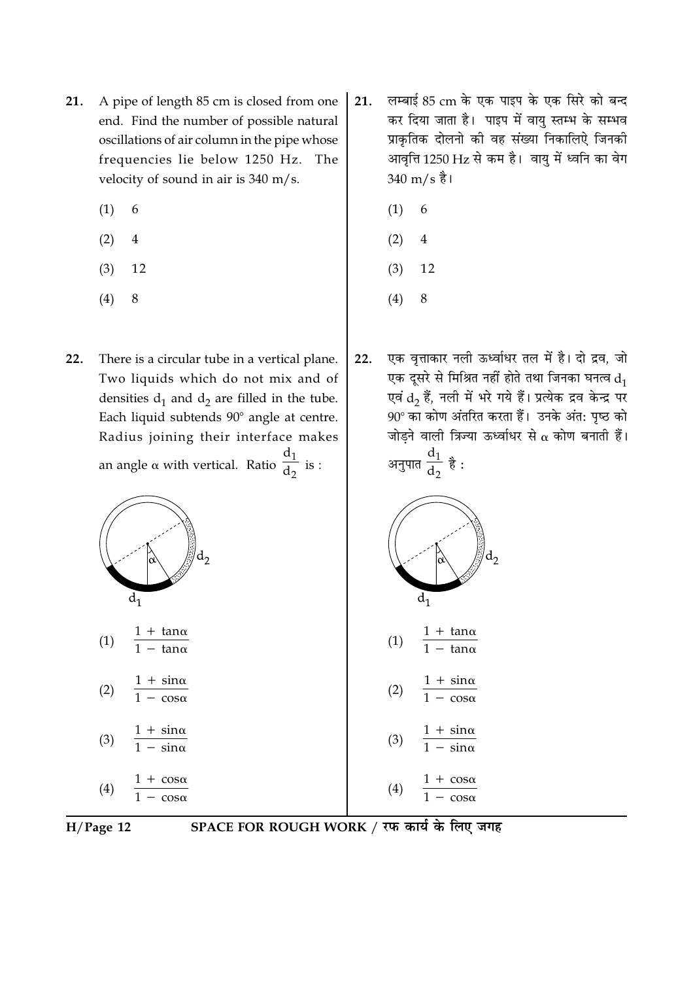- A pipe of length 85 cm is closed from one 21. end. Find the number of possible natural oscillations of air column in the pipe whose frequencies lie below 1250 Hz. The velocity of sound in air is 340 m/s.
	- $(1)$ 6
	- $(2)$  $\overline{4}$
	- $(3)$ 12
	- $(4)$ 8
- 22. There is a circular tube in a vertical plane. Two liquids which do not mix and of densities  $d_1$  and  $d_2$  are filled in the tube. Each liquid subtends 90° angle at centre. Radius joining their interface makes an angle  $\alpha$  with vertical. Ratio  $\frac{d_1}{d_2}$  is :





 $1 + \sin \alpha$  $(2)$  $\frac{1}{1 - \cos \alpha}$ 

$$
(3) \quad \frac{1 + \sin \alpha}{1 - \sin \alpha}
$$

$$
(4) \quad \frac{1 + \cos \theta}{1 - \cos \theta}
$$

 $H/Page$  12

- लम्बाई 85 cm के एक पाइप के एक सिरे को बन्द 21. कर दिया जाता है। पाइप में वायु स्तम्भ के सम्भव प्राकतिक दोलनो की वह संख्या निकालिऐ जिनकी आवृत्ति 1250 Hz से कम है। वायु में ध्वनि का वेग  $340 \text{ m/s}$  है।
	- $(1)$ 6
	- $(2)$ 4
	- $(3)$ 12
	- $(4)$ 8
- एक वृत्ताकार नली ऊर्ध्वाधर तल में है। दो द्रव, जो  $22.$ एक दूसरे से मिश्रित नहीं होते तथा जिनका घनत्व  $d_1$ एवं  $\mathrm{d}_2$  हैं, नली में भरे गये हैं। प्रत्येक द्रव केन्द्र पर 90° का कोण अंतरित करता हैं। उनके अंत: पृष्ठ को जोड़ने वाली त्रिज्या ऊर्ध्वाधर से  $\alpha$  कोण बनाती हैं। अनुपात  $\frac{d_1}{d_2}$  है :

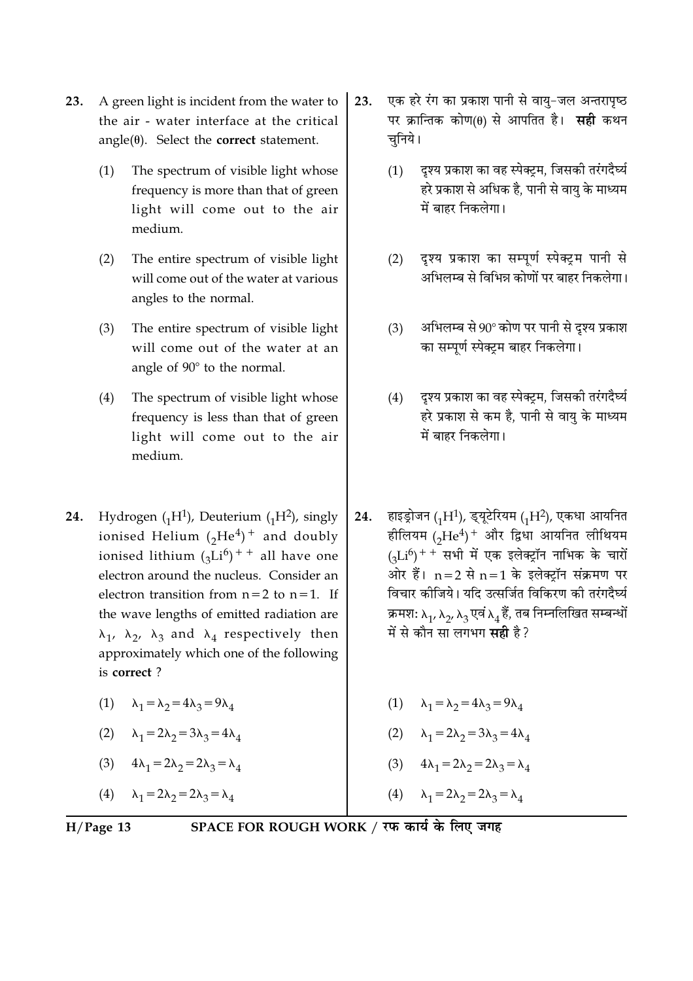- 23. A green light is incident from the water to the air - water interface at the critical  $angle(\theta)$ . Select the **correct** statement.
	- $(1)$ The spectrum of visible light whose frequency is more than that of green light will come out to the air medium.
	- $(2)$ The entire spectrum of visible light will come out of the water at various angles to the normal.
	- $(3)$ The entire spectrum of visible light will come out of the water at an angle of 90° to the normal.
	- $(4)$ The spectrum of visible light whose frequency is less than that of green light will come out to the air medium.
- 24. Hydrogen  $({}_{1}H^{1})$ , Deuterium  $({}_{1}H^{2})$ , singly ionised Helium  $({}_2He^4)^+$  and doubly ionised lithium  $({}_{3}Li^{6})$ <sup>++</sup> all have one electron around the nucleus. Consider an electron transition from  $n=2$  to  $n=1$ . If the wave lengths of emitted radiation are  $\lambda_1$ ,  $\lambda_2$ ,  $\lambda_3$  and  $\lambda_4$  respectively then approximately which one of the following is correct?
	- (1)  $\lambda_1 = \lambda_2 = 4\lambda_3 = 9\lambda_4$
	- (2)  $\lambda_1 = 2\lambda_2 = 3\lambda_3 = 4\lambda_4$
	- (3)  $4\lambda_1 = 2\lambda_2 = 2\lambda_3 = \lambda_4$

(4)  $\lambda_1 = 2\lambda_2 = 2\lambda_3 = \lambda_4$ 

- एक हरे रंग का प्रकाश पानी से वायु-जल अन्तरापृष्ठ 23. पर क्रान्तिक कोण(0) से आपतित है। सही कथन चनिये।
	- दृश्य प्रकाश का वह स्पेक्ट्रम, जिसकी तरंगदैर्घ्य  $(1)$ हरे प्रकाश से अधिक है. पानी से वाय के माध्यम में बाहर निकलेगा।
	- दृश्य प्रकाश का सम्पूर्ण स्पेक्ट्रम पानी से  $(2)$ अभिलम्ब से विभिन्न कोणों पर बाहर निकलेगा।
	- अभिलम्ब से 90° कोण पर पानी से दृश्य प्रकाश  $(3)$ का सम्पर्ण स्पेक्टम बाहर निकलेगा।
	- दृश्य प्रकाश का वह स्पेक्ट्रम, जिसकी तरंगदैर्घ्य  $(4)$ हरे प्रकाश से कम है. पानी से वाय के माध्यम में बाहर निकलेगा।
- हाइड्रोजन (1H<sup>1</sup>), ड्यूटेरियम (1H<sup>2</sup>), एकधा आयनित 24. हीलियम (2He<sup>4</sup>)<sup>+</sup> और द्विधा आयनित लीथियम  $(J_{12}^{(5)}$ + सभी में एक इलेक्ट्रॉन नाभिक के चारों ओर हैं।  $n=2$  से  $n=1$  के इलेक्टॉन संक्रमण पर विचार कीजिये। यदि उत्सर्जित विकिरण की तरंगदैर्घ्य क्रमशः  $\lambda_1$ ,  $\lambda_2$ ,  $\lambda_3$  एवं  $\lambda_4$ हैं, तब निम्नलिखित सम्बन्धों में से कौन सा लगभग **सद्री** है ?
	- (1)  $\lambda_1 = \lambda_2 = 4\lambda_3 = 9\lambda_4$
	- (2)  $\lambda_1 = 2\lambda_2 = 3\lambda_3 = 4\lambda_4$
	- (3)  $4\lambda_1 = 2\lambda_2 = 2\lambda_3 = \lambda_4$
	- $\lambda_1 = 2\lambda_2 = 2\lambda_3 = \lambda_4$  $(4)$

 $H/Page$  13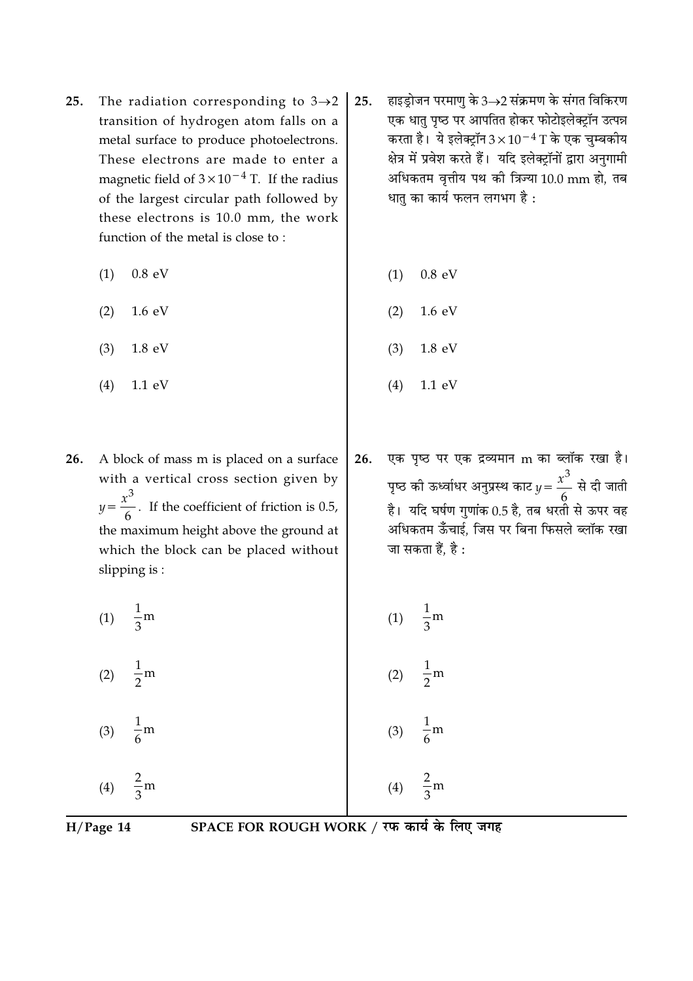- The radiation corresponding to  $3\rightarrow 2$ 25. transition of hydrogen atom falls on a metal surface to produce photoelectrons. These electrons are made to enter a magnetic field of  $3 \times 10^{-4}$  T. If the radius of the largest circular path followed by these electrons is 10.0 mm, the work function of the metal is close to:
	- $0.8$  eV  $(1)$
	- $(2)$  $1.6 \text{ eV}$
	- $(3)$  $1.8 \text{ eV}$
	- $(4)$  $1.1 \text{ eV}$
- 26. A block of mass m is placed on a surface with a vertical cross section given by  $y = \frac{x^3}{6}$ . If the coefficient of friction is 0.5, the maximum height above the ground at which the block can be placed without slipping is:
	- (1)  $\frac{1}{3}$ m
	- $\frac{1}{2}$ m  $(2)$
	- $\frac{1}{6}$ m  $(3)$
	- $\frac{2}{2}$ m  $(4)$
- हाइड्रोजन परमाणु के 3→2 संक्रमण के संगत विकिरण 25. एक धातु पृष्ठ पर आपतित होकर फोटोइलेक्ट्रॉन उत्पन्न करता है। ये इलेक्ट्रॉन  $3 \times 10^{-4}$  T के एक चुम्बकीय क्षेत्र में प्रवेश करते हैं। यदि इलेक्ट्रॉनों द्वारा अनुगामी अधिकतम वृत्तीय पथ की त्रिज्या 10.0 mm हो, तब धात का कार्य फलन लगभग है:
	- $(1)$  $0.8 eV$
	- $(2)$  $1.6 \text{ eV}$
	- $(3)$  $1.8 \text{ eV}$
	- $(4)$  $1.1 \text{ eV}$
- एक पृष्ठ पर एक द्रव्यमान m का ब्लॉक रखा है। 26. पृष्ठ की ऊर्ध्वाधर अनुप्रस्थ काट $y = \frac{x^3}{6}$  से दी जाती है। यदि घर्षण गुणांक 0.5 है, तब धरतों से ऊपर वह अधिकतम ऊँँचाई. जिस पर बिना फिसले ब्लॉक रखा जा सकता हैं, है :
- (1)  $\frac{1}{3}$ m  $\frac{1}{2}$ m  $(2)$  $(3)$  $\frac{2}{3}$ m

 $H/Page$  14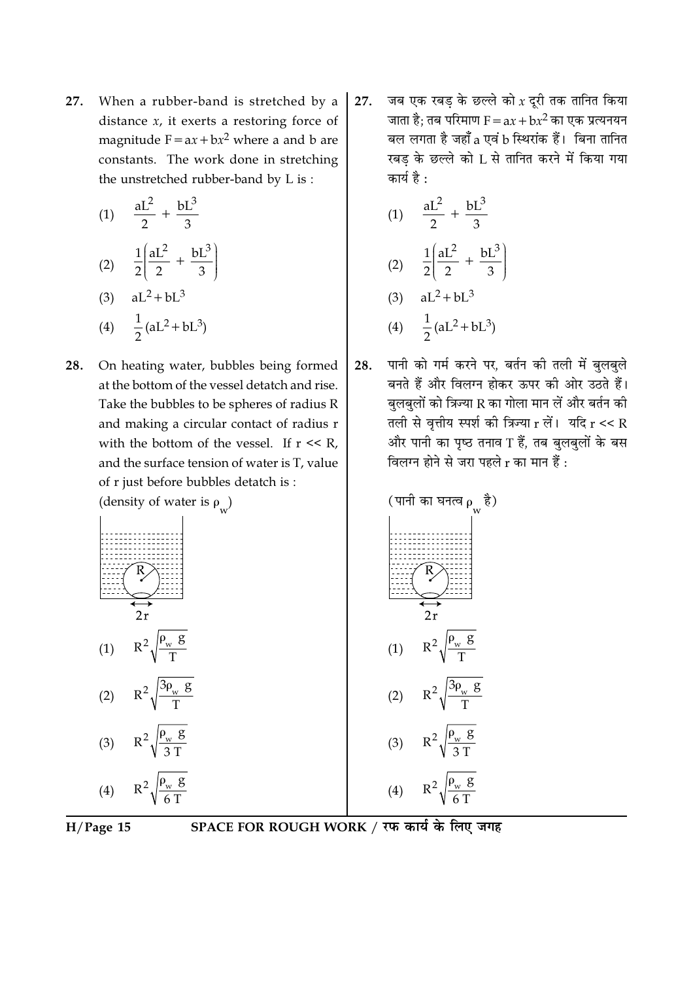27. When a rubber-band is stretched by a distance  $x$ , it exerts a restoring force of magnitude  $F = ax + bx^2$  where a and b are constants. The work done in stretching the unstretched rubber-band by L is:

(1) 
$$
\frac{aL^2}{2} + \frac{bL^3}{3}
$$
  
\n(2) 
$$
\frac{1}{2} \left( \frac{aL^2}{2} + \frac{bL^3}{3} \right)
$$
  
\n(3) 
$$
aL^2 + bL^3
$$
  
\n(4) 
$$
\frac{1}{2} (aL^2 + bL^3)
$$

**28.** On heating water, bubbles being formed at the bottom of the vessel detatch and rise. Take the bubbles to be spheres of radius R and making a circular contact of radius 
$$
r
$$
 with the bottom of the vessel. If  $r \ll R$ , and the surface tension of water is T, value of  $r$  just before bubbles detatch is :

जब एक रबड़ के छल्ले को  $x$  दूरी तक तानित किया 27. जाता है; तब परिमाण  $F = ax + bx^2$  का एक प्रत्यनयन बल लगता है जहाँ a एवं b स्थिरांक हैं। बिना तानित रबड के छल्ले को L से तानित करने में किया गया कार्य है :

(1) 
$$
\frac{aL^2}{2} + \frac{bL^3}{3}
$$
  
\n(2) 
$$
\frac{1}{2} \left( \frac{aL^2}{2} + \frac{bL^3}{3} \right)
$$
  
\n(3) 
$$
aL^2 + bL^3
$$
  
\n(4) 
$$
\frac{1}{2} (aL^2 + bL^3)
$$

पानी को गर्म करने पर, बर्तन की तली में बुलबुले 28. बनते हैं और विलग्न होकर ऊपर की ओर उठते हैं। बलबलों को त्रिज्या R का गोला मान लें और बर्तन की तली से वृत्तीय स्पर्श की त्रिज्या  $r$  लें। यदि  $r \ll R$ और पानी का पृष्ठ तनाव $T$  हैं, तब बुलबुलों के बस विलग्न होने से जरा पहले  $r$  का मान हैं :





SPACE FOR ROUGH WORK / रफ कार्य के लिए जगह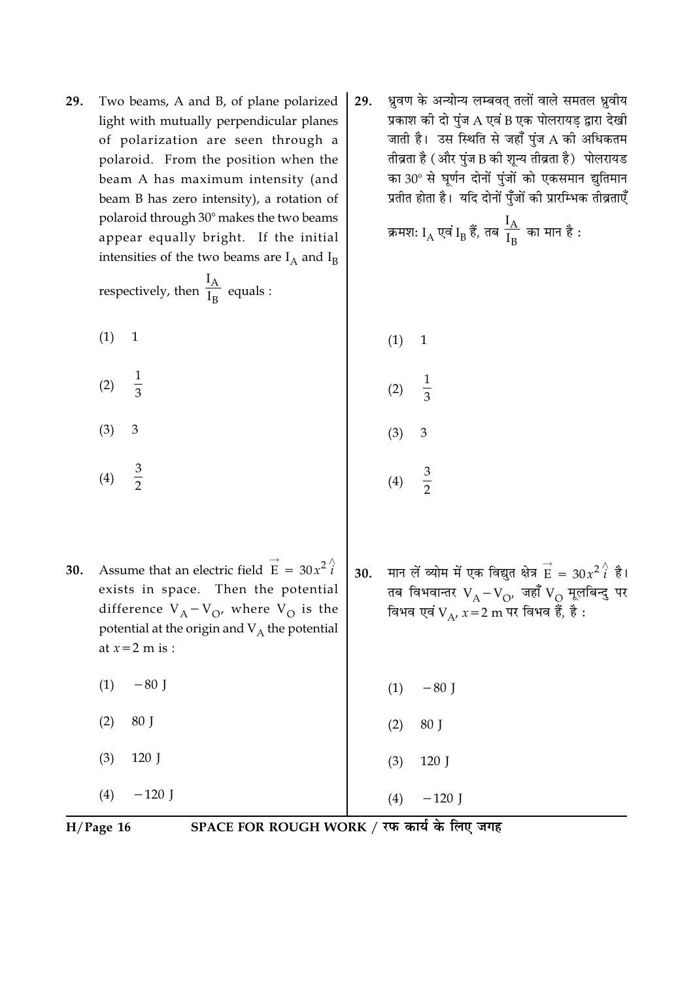Two beams, A and B, of plane polarized 29. light with mutually perpendicular planes of polarization are seen through a polaroid. From the position when the beam A has maximum intensity (and beam B has zero intensity), a rotation of polaroid through 30° makes the two beams appear equally bright. If the initial intensities of the two beams are  $I_A$  and  $I_B$ 

respectively, then  $\frac{I_A}{I_R}$  equals :

 $(1)$  $\mathbf{1}$ 

- $\frac{1}{3}$  $(2)$
- 3  $(3)$
- $rac{3}{2}$  $(4)$
- Assume that an electric field  $\vec{E} = 30x^2 \hat{i}$ 30. exists in space. Then the potential difference  $V_A - V_O$ , where  $V_O$  is the potential at the origin and  $V_A$  the potential at  $x=2$  m is :
	- $-80$  I  $(1)$
	- $(2)$ 80 J
	- $(3)$ 120 J
	- $(4)$  $-120$  J

ध्रुवण के अन्योन्य लम्बवत् तलों वाले समतल ध्रुवीय 29. प्रकाश की दो पुंज A एवं B एक पोलरायड़ द्वारा देखी जाती है। उस स्थिति से जहाँ पुंज A की अधिकतम तीव्रता है (और पुंज B की शून्य तीव्रता है) पोलरायड का 30° से घूर्णन दोनों पुंजों को एकसमान झुतिमान प्रतीत होता है। यदि दोनों पुँजों की प्रारम्भिक तीव्रताएँ

क्रमशः 
$$
I_{\text{A}}
$$
 एवं  $I_{\text{B}}$  हैं, तब  $\frac{I_{\text{A}}}{I_{\text{B}}}$  का मान है :

 $(1)$  $\mathbf{1}$  $(2)$  $\overline{3}$  $(3)$ 3

- $rac{3}{2}$  $(4)$
- मान लें व्योम में एक विद्युत क्षेत्र  $\overrightarrow{E} = 30x^2i^$  है।  $30.$ तब विभवान्तर  $V_A - V_O$ , जहाँ  $V_O$  मूलबिन्दु पर<br>विभव एवं  $V_A$ ,  $x = 2$  m पर विभव हैं, है :

 $(1)$  $-80$  J  $(2)$ 80 J

 $(4)$ 

 $-120$  J

 $(3)$ 120 J

 $H/Page$  16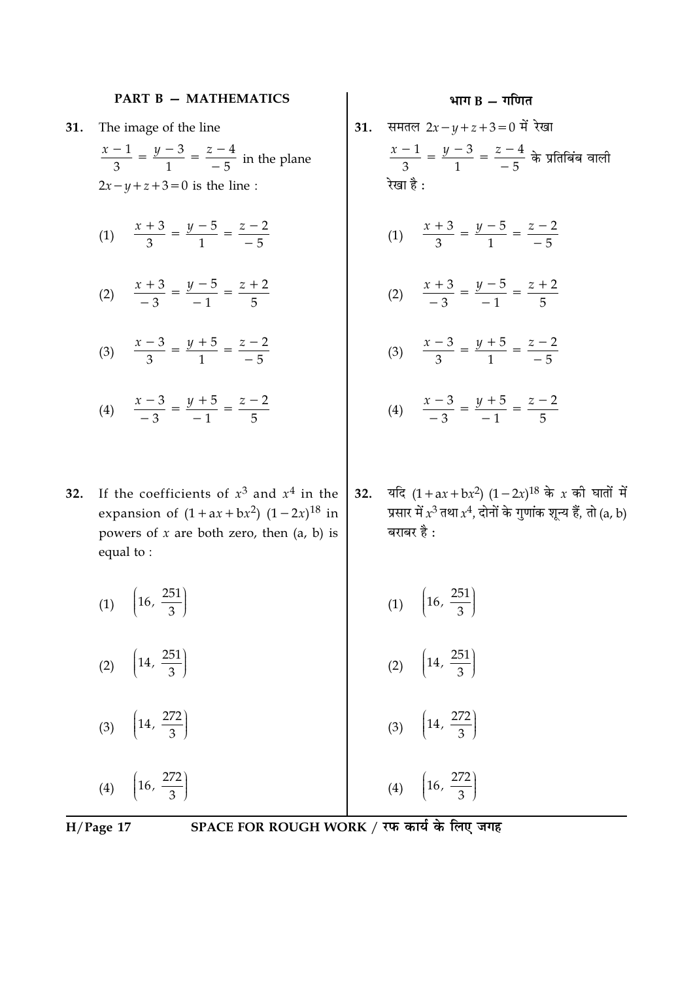#### **PART B - MATHEMATICS**

- The image of the line 31.
	- $\frac{x-1}{3} = \frac{y-3}{1} = \frac{z-4}{-5}$  in the plane  $2x-y+z+3=0$  is the line:
	- (1)  $\frac{x+3}{3} = \frac{y-5}{1} = \frac{z-2}{-5}$
	- (2)  $\frac{x+3}{-3} = \frac{y-5}{-1} = \frac{z+2}{5}$
	- (3)  $\frac{x-3}{3} = \frac{y+5}{1} = \frac{z-2}{-5}$
	- (4)  $\frac{x-3}{-3} = \frac{y+5}{-1} = \frac{z-2}{5}$
- If the coefficients of  $x^3$  and  $x^4$  in the 32. expansion of  $(1 + ax + bx^2) (1 - 2x)^{18}$  in powers of  $x$  are both zero, then  $(a, b)$  is equal to:
- भाग  $B T$ गणित
- समतल  $2x y + z + 3 = 0$  में रेखा  $31.$  $\frac{x-1}{3} = \frac{y-3}{1} = \frac{z-4}{-5}$  के प्रतिबिंब वाली रेखा है:
	- (1)  $\frac{x+3}{3} = \frac{y-5}{1} = \frac{z-2}{-5}$
	- (2)  $\frac{x+3}{-3} = \frac{y-5}{-1} = \frac{z+2}{5}$
	- (3)  $\frac{x-3}{3} = \frac{y+5}{1} = \frac{z-2}{-5}$
	- (4)  $\frac{x-3}{-3} = \frac{y+5}{-1} = \frac{z-2}{5}$
- यदि  $(1 + ax + bx^2) (1 2x)^{18}$  के x की घातों में  $32.$ प्रसार में  $x^3$  तथा  $x^4$ , दोनों के गुणांक शून्य हैं, तो (a, b) बराबर है :
	- (1)  $\left(16, \frac{251}{3}\right)$
	- $\left(14, \frac{251}{3}\right)$  $(2)$

(4)  $\left(16, \frac{272}{3}\right)$ 

(3)  $\left(14, \frac{272}{3}\right)$ 

(4)  $\left(16, \frac{272}{3}\right)$ 

 $H/Page 17$ 

(1)  $\left(16, \frac{251}{3}\right)$ 

(2)  $\left(14, \frac{251}{3}\right)$ 

(3)  $\left(14, \frac{272}{3}\right)$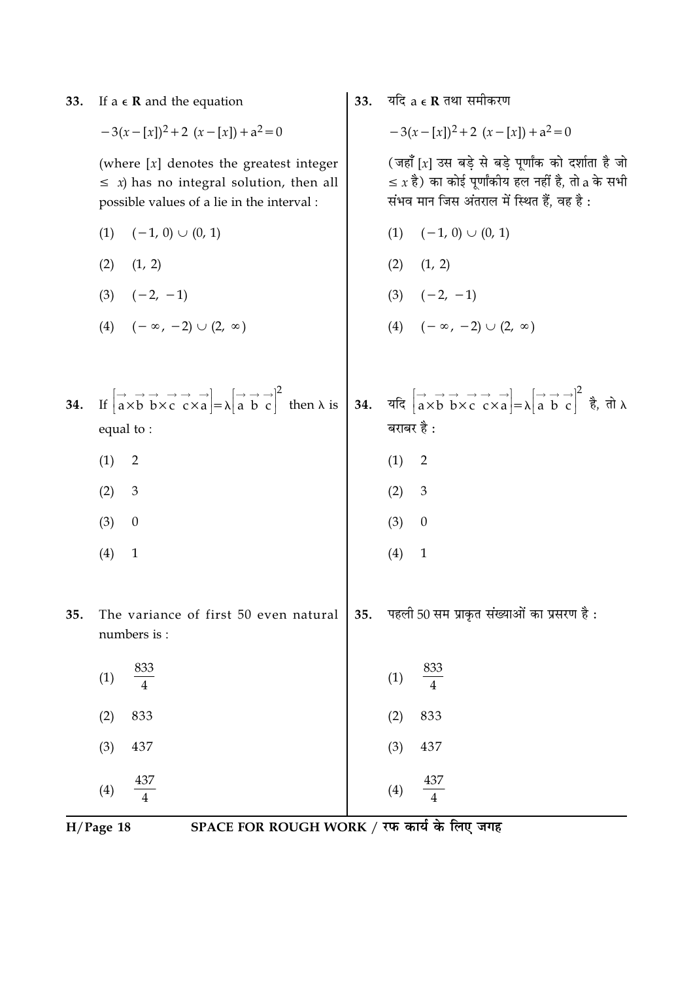| 33. | If $a \in \mathbb{R}$ and the equation                                                                                                                                                                                                                                                                                                                                                                                                                                                                                    | 33. | यदि a e R तथा समीकरण                                                                                                                                                                                                                                                                                                      |
|-----|---------------------------------------------------------------------------------------------------------------------------------------------------------------------------------------------------------------------------------------------------------------------------------------------------------------------------------------------------------------------------------------------------------------------------------------------------------------------------------------------------------------------------|-----|---------------------------------------------------------------------------------------------------------------------------------------------------------------------------------------------------------------------------------------------------------------------------------------------------------------------------|
|     | $-3(x-[x])^2+2(x-[x])+a^2=0$                                                                                                                                                                                                                                                                                                                                                                                                                                                                                              |     | $-3(x-[x])^2+2(x-[x])+a^2=0$                                                                                                                                                                                                                                                                                              |
|     | (where $[x]$ denotes the greatest integer<br>$\leq x$ ) has no integral solution, then all<br>possible values of a lie in the interval :                                                                                                                                                                                                                                                                                                                                                                                  |     | (जहाँ [x] उस बड़े से बड़े पूर्णांक को दर्शाता है जो<br>$\leq x$ है) का कोई पूर्णांकीय हल नहीं है, तो a के सभी<br>संभव मान जिस अंतराल में स्थित हैं, वह है:                                                                                                                                                                |
|     | (1)<br>$(-1, 0) \cup (0, 1)$                                                                                                                                                                                                                                                                                                                                                                                                                                                                                              |     | $(-1, 0)$ $\cup$ $(0, 1)$<br>(1)                                                                                                                                                                                                                                                                                          |
|     | (2)<br>(1, 2)                                                                                                                                                                                                                                                                                                                                                                                                                                                                                                             |     | (1, 2)<br>(2)                                                                                                                                                                                                                                                                                                             |
|     | $(3) \quad (-2, -1)$                                                                                                                                                                                                                                                                                                                                                                                                                                                                                                      |     | (3) $(-2, -1)$<br>(4) $(-\infty, -2) \cup (2, \infty)$                                                                                                                                                                                                                                                                    |
|     | $(-\infty, -2) \cup (2, \infty)$<br>(4)                                                                                                                                                                                                                                                                                                                                                                                                                                                                                   |     |                                                                                                                                                                                                                                                                                                                           |
|     |                                                                                                                                                                                                                                                                                                                                                                                                                                                                                                                           |     |                                                                                                                                                                                                                                                                                                                           |
| 34. | If $\begin{bmatrix} \overrightarrow{a} & \overrightarrow{b} & \overrightarrow{c} & \overrightarrow{c} \\ \overrightarrow{a} & \overrightarrow{b} & \overrightarrow{b} & \overrightarrow{c} & \overrightarrow{c} \\ \overrightarrow{c} & \overrightarrow{c} & \overrightarrow{c} & \overrightarrow{a} \end{bmatrix} = \lambda \begin{bmatrix} \overrightarrow{a} & \overrightarrow{b} & \overrightarrow{c} \\ \overrightarrow{a} & \overrightarrow{b} & \overrightarrow{c} \end{bmatrix}^2$ then $\lambda$ is<br>equal to: |     | <b>34.</b> यदि $\begin{bmatrix} \overrightarrow{a} & \overrightarrow{b} & \overrightarrow{c} & \overrightarrow{c} \\ a & b & b & \overrightarrow{c} & c \end{bmatrix} = \lambda \begin{bmatrix} \overrightarrow{a} & \overrightarrow{b} & \overrightarrow{c} \\ a & b & c \end{bmatrix}^2$ है, तो $\lambda$<br>बराबर है : |
|     | (1)<br>$\overline{2}$                                                                                                                                                                                                                                                                                                                                                                                                                                                                                                     |     | (1)<br>$\overline{2}$                                                                                                                                                                                                                                                                                                     |
|     | (2)<br>$\mathfrak{Z}$                                                                                                                                                                                                                                                                                                                                                                                                                                                                                                     |     | 3<br>(2)                                                                                                                                                                                                                                                                                                                  |
|     | (3)<br>$\boldsymbol{0}$                                                                                                                                                                                                                                                                                                                                                                                                                                                                                                   |     | (3)<br>$\boldsymbol{0}$                                                                                                                                                                                                                                                                                                   |
|     | (4)<br>$\mathbf{1}$                                                                                                                                                                                                                                                                                                                                                                                                                                                                                                       |     | (4)<br>$\mathbf{1}$                                                                                                                                                                                                                                                                                                       |
| 35. | The variance of first 50 even natural<br>numbers is:                                                                                                                                                                                                                                                                                                                                                                                                                                                                      | 35. | पहली 50 सम प्राकृत संख्याओं का प्रसरण है:                                                                                                                                                                                                                                                                                 |
|     | 833<br>(1)                                                                                                                                                                                                                                                                                                                                                                                                                                                                                                                |     | 833<br>(1)<br>$\overline{4}$                                                                                                                                                                                                                                                                                              |
|     | 833<br>(2)                                                                                                                                                                                                                                                                                                                                                                                                                                                                                                                |     | 833<br>(2)                                                                                                                                                                                                                                                                                                                |
|     | (3)<br>437                                                                                                                                                                                                                                                                                                                                                                                                                                                                                                                |     | (3)<br>437                                                                                                                                                                                                                                                                                                                |
|     | 437<br>(4)                                                                                                                                                                                                                                                                                                                                                                                                                                                                                                                |     | 437<br>(4)<br>$\overline{4}$                                                                                                                                                                                                                                                                                              |
|     | SPACE FOR ROUGH WORK / रफ कार्य के लिए जगह<br>$H/Page$ 18                                                                                                                                                                                                                                                                                                                                                                                                                                                                 |     |                                                                                                                                                                                                                                                                                                                           |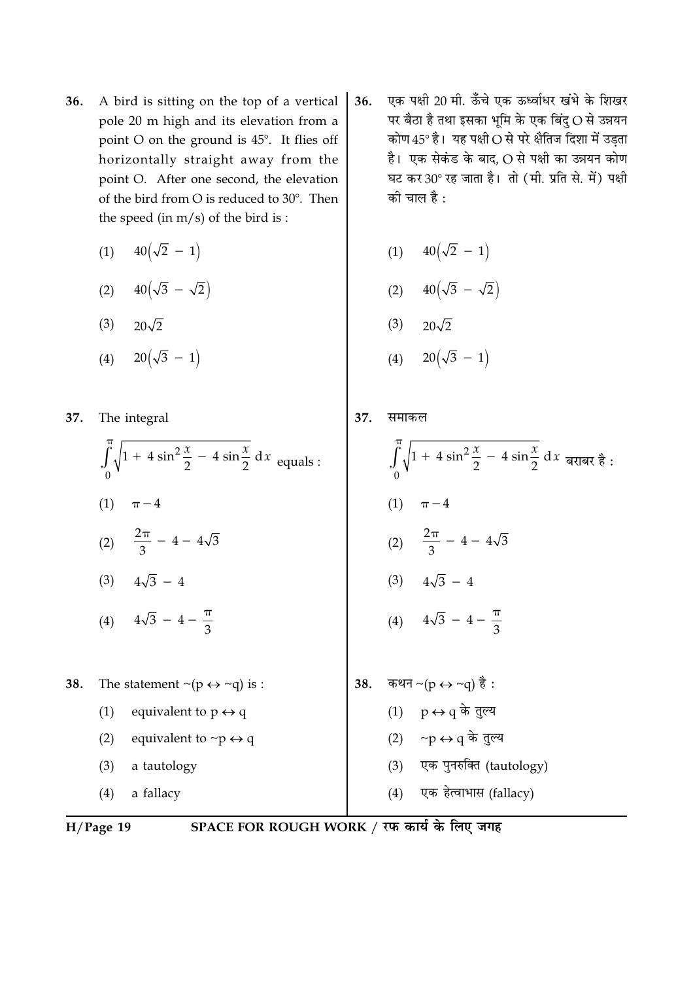- A bird is sitting on the top of a vertical 36. pole 20 m high and its elevation from a point O on the ground is 45°. It flies off horizontally straight away from the point O. After one second, the elevation of the bird from O is reduced to 30°. Then the speed (in  $m/s$ ) of the bird is:
	- $40(\sqrt{2}-1)$  $(1)$
	- (2)  $40(\sqrt{3} \sqrt{2})$
	- $(3)$   $20\sqrt{2}$
	- $20(\sqrt{3} 1)$  $(4)$

37. The integral

- $\int_{0}^{1} \sqrt{1 + 4 \sin^2 \frac{x}{2} 4 \sin \frac{x}{2}} dx$  equals : (1)  $\pi - 4$ (2)  $\frac{2\pi}{3}$  - 4 -  $4\sqrt{3}$ (3)  $4\sqrt{3} - 4$ (4)  $4\sqrt{3} - 4 - \frac{\pi}{3}$ The statement  $\sim (p \leftrightarrow \sim q)$  is : 38.  $(1)$ equivalent to  $p \leftrightarrow q$  $(2)$ equivalent to  $\neg p \leftrightarrow q$ 
	- a tautology  $(3)$
	- $(4)$ a fallacy

- एक पक्षी 20 मी. ऊँचे एक ऊर्ध्वाधर खंभे के शिखर 36. पर बैठा है तथा इसका भूमि के एक बिंदु O से उन्नयन कोण  $45^{\circ}$  है। यह पक्षी  $\bigcirc$  से परे क्षैतिज दिशा में उड़ता है। एक सेकंड के बाद, O से पक्षी का उन्नयन कोण घट कर 30° रह जाता है। तो (मी. प्रति से. में) पक्षी की चाल है :
	- (1)  $40(\sqrt{2} 1)$
	- (2)  $40(\sqrt{3} \sqrt{2})$
	- $(3)$   $20\sqrt{2}$
	- (4)  $20(\sqrt{3} 1)$
- 37. समाकल  $\int_{0}^{\pi}\sqrt{1+4\sin^2{\frac{x}{2}}-4\sin{\frac{x}{2}}}\,dx$  बराबर है :  $(1)$  $\pi - 4$ (2)  $\frac{2\pi}{3}$  - 4 -  $4\sqrt{3}$ (3)  $4\sqrt{3} - 4$ (4)  $4\sqrt{3} - 4 - \frac{\pi}{3}$ कथन ~(p  $\leftrightarrow$  ~q) है : 38. (1)  $p \leftrightarrow q$  के तुल्य (2) ∼p ↔ q के तुल्य
	- एक पुनरुक्ति (tautology)  $(3)$
	- (4) एक हेत्वाभास (fallacy)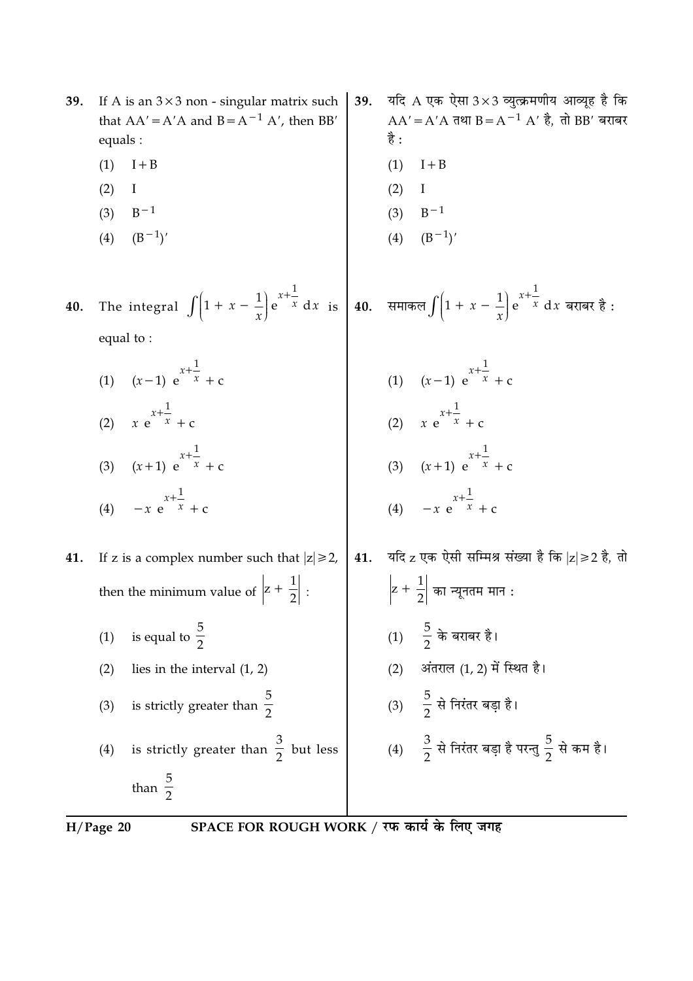| 39. | If A is an $3 \times 3$ non - singular matrix such<br>that $AA' = A'A$ and $B = A^{-1} A'$ , then BB'<br>equals :                                                                            | 39. | यदि $A$ एक ऐसा $3\times 3$ व्युत्क्रमणीय आव्यूह है कि<br>$AA' = A'A$ तथा $B = A^{-1} A'$ है, तो BB' बराबर<br>है : |
|-----|----------------------------------------------------------------------------------------------------------------------------------------------------------------------------------------------|-----|-------------------------------------------------------------------------------------------------------------------|
|     | (1)<br>$I + B$                                                                                                                                                                               |     | (1)<br>$I + B$                                                                                                    |
|     | (2)<br>I                                                                                                                                                                                     |     | (2)<br>I                                                                                                          |
|     | $B-1$<br>(3)                                                                                                                                                                                 |     | (3)<br>$B-1$                                                                                                      |
|     | $(B^{-1})'$<br>(4)                                                                                                                                                                           |     | (4)<br>$(B^{-1})'$                                                                                                |
| 40. | The integral $\int \left(1 + x - \frac{1}{x}\right) e^{x + \frac{1}{x}} dx$ is $\left  40. \arctan \left( \int \left(1 + x - \frac{1}{x}\right) e^{x + \frac{1}{x}} dx \right  dx$ बराबर है: |     |                                                                                                                   |
|     | equal to:                                                                                                                                                                                    |     |                                                                                                                   |
|     | (1) $(x-1) e^{x+\frac{1}{x}} + c$                                                                                                                                                            |     |                                                                                                                   |
|     | (2) $x e^{x + \frac{1}{x}} + c$                                                                                                                                                              |     | (1) $(x-1) e^{x+\frac{1}{x}} + c$<br>(2) $x e^{x+\frac{1}{x}} + c$<br>(3) $(x+1) e^{x+\frac{1}{x}} + c$           |
|     | (3) $(x+1) e^{x+\frac{1}{x}} + c$                                                                                                                                                            |     |                                                                                                                   |
|     | $-x e^{x + \frac{1}{x}} + c$<br>(4)                                                                                                                                                          |     | (4) $-x e^{x + \frac{1}{x}} + c$                                                                                  |
| 41. | If z is a complex number such that $ z  \ge 2$ ,                                                                                                                                             | 41. | यदि z एक ऐसी सम्मिश्र संख्या है कि  z ≥2 है, तो                                                                   |
|     | then the minimum value of $\left z + \frac{1}{2}\right $ :                                                                                                                                   |     | $\left z+\frac{1}{2}\right $ का न्यूनतम मान :                                                                     |
|     | is equal to $\frac{5}{2}$<br>(1)                                                                                                                                                             |     | $-\frac{5}{2}$ के बराबर है।<br>(1)                                                                                |
|     | lies in the interval $(1, 2)$<br>(2)                                                                                                                                                         |     | अंतराल (1, 2) में स्थित है।<br>(2)                                                                                |
|     | is strictly greater than $\frac{5}{2}$<br>(3)                                                                                                                                                |     | (3) $\frac{5}{2}$ से निरंतर बड़ा है।                                                                              |
|     | is strictly greater than $\frac{3}{2}$ but less<br>(4)                                                                                                                                       |     | (4) $\frac{3}{2}$ से निरंतर बड़ा है परन्तु $\frac{5}{2}$ से कम है।                                                |
|     | than $\frac{5}{2}$                                                                                                                                                                           |     |                                                                                                                   |
|     |                                                                                                                                                                                              |     |                                                                                                                   |

H/Page 20 SPACE FOR ROUGH WORK / रफ कार्य के लिए जगह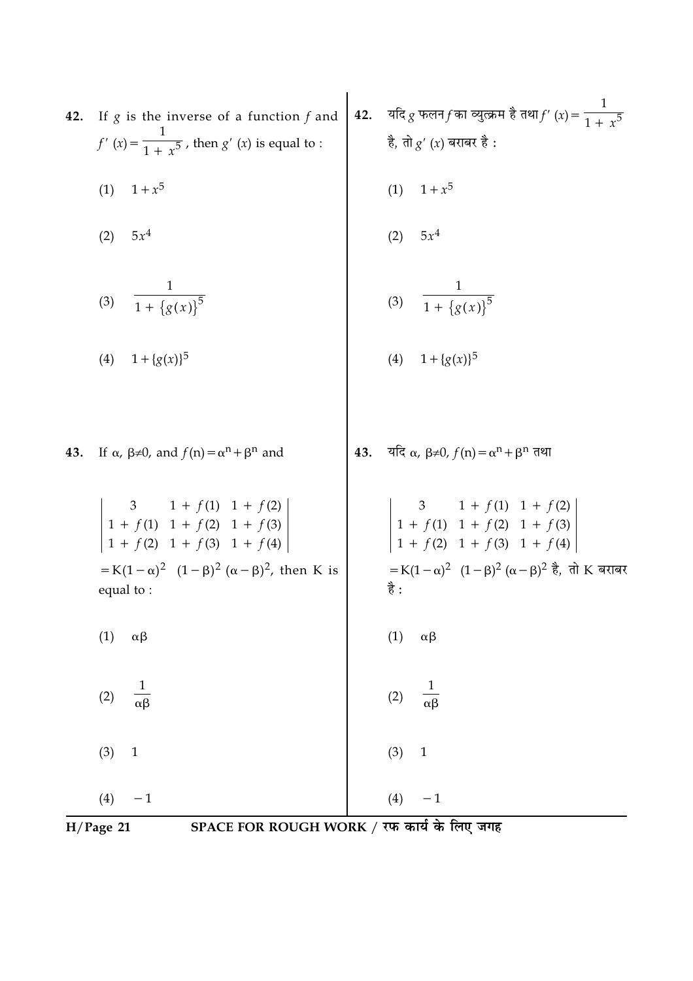| 42. | If $g$ is the inverse of a function $f$ and<br>$f'(x) = \frac{1}{1 + x^5}$ , then $g'(x)$ is equal to :<br>(1) $1 + x^5$                                                                                                                | <b>42.</b> यदि $g$ फलन $f$ का व्युत्क्रम है तथा $f'(x) = \frac{1}{1 + x^5}$<br>है, तो $g'(x)$ बराबर है :<br>(1) $1 + x^5$                                                                                                |
|-----|-----------------------------------------------------------------------------------------------------------------------------------------------------------------------------------------------------------------------------------------|--------------------------------------------------------------------------------------------------------------------------------------------------------------------------------------------------------------------------|
|     | $5x^4$<br>(2)                                                                                                                                                                                                                           | (2) $5x^4$                                                                                                                                                                                                               |
|     | (3) $\frac{1}{1 + \{g(x)\}^5}$                                                                                                                                                                                                          | (3) $\frac{1}{1 + \{g(x)\}^5}$                                                                                                                                                                                           |
|     | (4) $1 + {g(x)}^5$                                                                                                                                                                                                                      | (4) $1 + {g(x)}^5$                                                                                                                                                                                                       |
| 43. | If $\alpha$ , $\beta \neq 0$ , and $f(n) = \alpha^n + \beta^n$ and                                                                                                                                                                      | 43. यदि $\alpha$ , $\beta \neq 0$ , $f(n) = \alpha^n + \beta^n$ तथा                                                                                                                                                      |
|     | $\begin{vmatrix} 3 & 1+f(1) & 1+f(2) \\ 1+f(1) & 1+f(2) & 1+f(3) \\ 1+f(2) & 1+f(3) & 1+f(4) \end{vmatrix}$<br>= K(1 – $\alpha$ ) <sup>2</sup> (1 – $\beta$ ) <sup>2</sup> ( $\alpha$ – $\beta$ ) <sup>2</sup> , then K is<br>equal to: | $\begin{vmatrix}\n3 & 1 + f(1) & 1 + f(2) \\ 1 + f(1) & 1 + f(2) & 1 + f(3) \\ 1 + f(2) & 1 + f(3) & 1 + f(4)\n\end{vmatrix}$<br>=K(1 – α) <sup>2</sup> (1 – β) <sup>2</sup> (α – β) <sup>2</sup> है, तो K बराबर<br>है : |
|     | (1)<br>$\alpha\beta$                                                                                                                                                                                                                    | (1)<br>$\alpha\beta$                                                                                                                                                                                                     |
|     | $\frac{1}{\alpha\beta}$<br>(2)                                                                                                                                                                                                          | $\frac{1}{\alpha\beta}$<br>(2)                                                                                                                                                                                           |
|     | (3)<br>$\mathbf{1}$                                                                                                                                                                                                                     | (3)<br>$\mathbf 1$                                                                                                                                                                                                       |
|     | $- \, 1$<br>(4)                                                                                                                                                                                                                         | (4)<br>$- \, 1$                                                                                                                                                                                                          |

H/Page 21 SPACE FOR ROUGH WORK / रफ कार्य के लिए जगह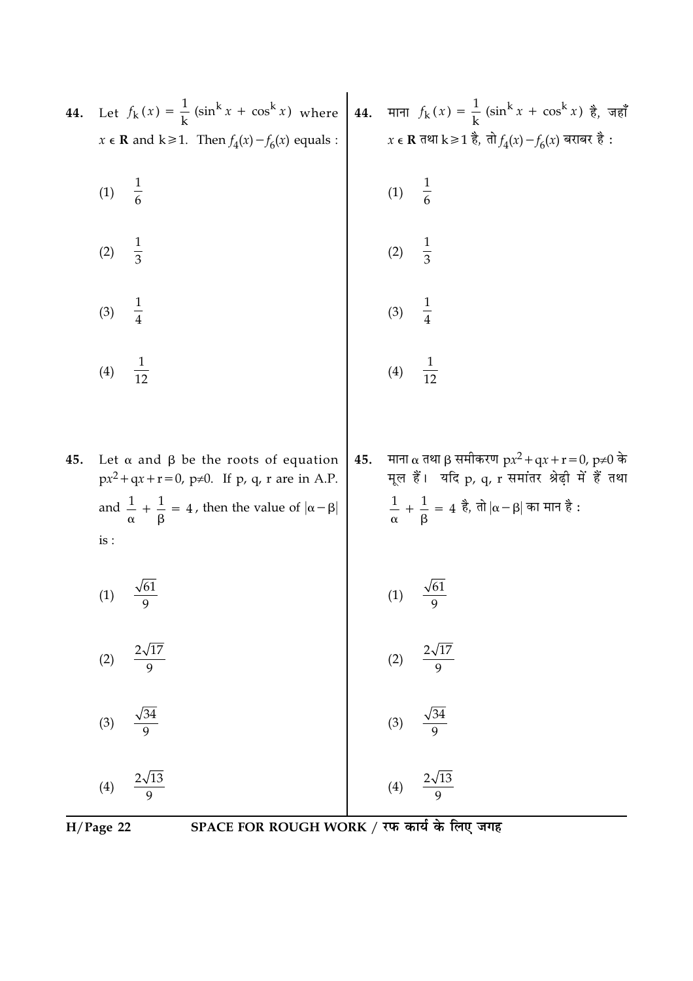| 44. | $x \in \mathbf{R}$ and $k \ge 1$ . Then $f_4(x) - f_6(x)$ equals :                                                                                                                                          |     | Let $f_k(x) = \frac{1}{k} (\sin^k x + \cos^k x)$ where 44. $\pi \pi f_k(x) = \frac{1}{k} (\sin^k x + \cos^k x)$ है, जहाँ<br>$x \in \mathbf{R}$ तथा $k \ge 1$ है, तो $f_4(x) - f_6(x)$ बराबर है : |
|-----|-------------------------------------------------------------------------------------------------------------------------------------------------------------------------------------------------------------|-----|--------------------------------------------------------------------------------------------------------------------------------------------------------------------------------------------------|
|     | $\frac{1}{6}$<br>(1)                                                                                                                                                                                        |     |                                                                                                                                                                                                  |
|     | $\frac{1}{3}$<br>(2)                                                                                                                                                                                        |     | (1) $\frac{1}{6}$<br>(2) $\frac{1}{3}$                                                                                                                                                           |
|     | $\frac{1}{4}$<br>(3)                                                                                                                                                                                        |     | $\frac{1}{4}$<br>(3)                                                                                                                                                                             |
|     | $\frac{1}{12}$<br>(4)                                                                                                                                                                                       |     | (4) $\frac{1}{12}$                                                                                                                                                                               |
| 45. | Let $\alpha$ and $\beta$ be the roots of equation<br>$px^2 + qx + r = 0$ , $p \ne 0$ . If p, q, r are in A.P.<br>and $\frac{1}{\alpha} + \frac{1}{\beta} = 4$ , then the value of $ \alpha - \beta $<br>is: | 45. | माना α तथा β समीकरण $px^2 + qx + r = 0$ , $p \neq 0$ के<br>मूल हैं। यदि p, q, r समांतर श्रेढ़ी में हैं तथा<br>$\frac{1}{\alpha} + \frac{1}{\beta} = 4$ है, तो $ \alpha-\beta $ का मान है :       |
|     | (1)                                                                                                                                                                                                         |     | $\sqrt{61}$<br>(1)                                                                                                                                                                               |
|     | $\frac{2\sqrt{17}}{9}$<br>(2)                                                                                                                                                                               |     |                                                                                                                                                                                                  |
|     | $\frac{\sqrt{34}}{9}$<br>(3)                                                                                                                                                                                |     | (2) $\frac{2\sqrt{17}}{9}$<br>(3) $\frac{\sqrt{34}}{9}$<br>(4) $\frac{2\sqrt{13}}{9}$                                                                                                            |
|     | $\frac{2\sqrt{13}}{9}$<br>(4)                                                                                                                                                                               |     |                                                                                                                                                                                                  |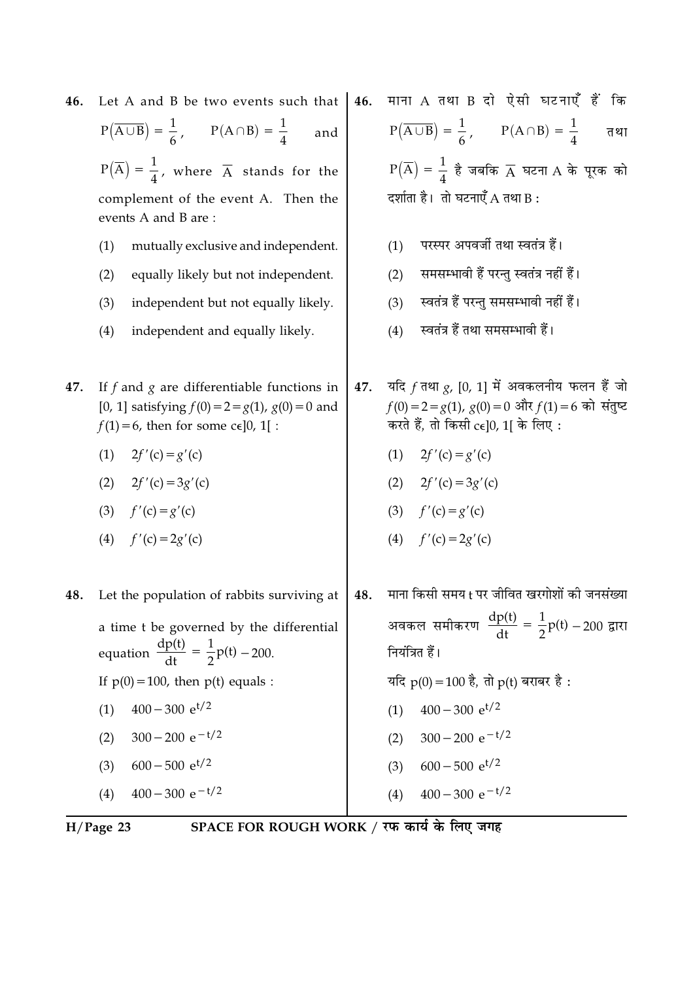| Let A and B be two events such that                                                                                                                                                                              | 46.                           | माना A तथा B दो ऐसी घटनाएँ हैं कि                                                                                                                                                                                       |
|------------------------------------------------------------------------------------------------------------------------------------------------------------------------------------------------------------------|-------------------------------|-------------------------------------------------------------------------------------------------------------------------------------------------------------------------------------------------------------------------|
| $P(\overline{A \cup B}) = \frac{1}{6}, \qquad P(A \cap B) = \frac{1}{4}$<br>and                                                                                                                                  |                               | $P(\overline{A \cup B}) = \frac{1}{6}, \qquad P(A \cap B) = \frac{1}{4}$<br>तथा                                                                                                                                         |
| $P(\overline{A}) = \frac{1}{4}$ , where $\overline{A}$ stands for the                                                                                                                                            |                               | $P(\overline{A}) = \frac{1}{4}$ है जबकि $\overline{A}$ घटना A के पूरक को                                                                                                                                                |
| complement of the event A. Then the<br>events A and B are:                                                                                                                                                       |                               | दर्शाता है। तो घटनाएँ A तथा B:                                                                                                                                                                                          |
| mutually exclusive and independent.<br>(1)                                                                                                                                                                       |                               | परस्पर अपवर्जी तथा स्वतंत्र हैं।<br>(1)                                                                                                                                                                                 |
| (2)<br>equally likely but not independent.                                                                                                                                                                       |                               | समसम्भावी हैं परन्तु स्वतंत्र नहीं हैं।<br>(2)                                                                                                                                                                          |
| (3)<br>independent but not equally likely.                                                                                                                                                                       |                               | स्वतंत्र हैं परन्तु समसम्भावी नहीं हैं।<br>(3)                                                                                                                                                                          |
| (4)<br>independent and equally likely.                                                                                                                                                                           |                               | स्वतंत्र हैं तथा समसम्भावी हैं।<br>(4)                                                                                                                                                                                  |
| If $f$ and $g$ are differentiable functions in<br>[0, 1] satisfying $f(0) = 2 = g(1)$ , $g(0) = 0$ and<br>$f(1) = 6$ , then for some c $\epsilon$ ]0, 1[:<br>(1)<br>$2f'(c) = g'(c)$<br>(2)<br>$2f'(c) = 3g'(c)$ | 47.                           | यदि $f$ तथा $g$ , [0, 1] में अवकलनीय फलन हैं जो<br>$f(0) = 2 = g(1), g(0) = 0$ और $f(1) = 6$ को संतुष्ट<br>करते हैं, तो किसी $ce[0, 1]$ के लिए:<br>(1) $2f'(c) = g'(c)$<br>(2) $2f'(c) = 3g'(c)$<br>(3) $f'(c) = g'(c)$ |
| (4)<br>$f'(c) = 2g'(c)$                                                                                                                                                                                          |                               | (4) $f'(c) = 2g'(c)$                                                                                                                                                                                                    |
| Let the population of rabbits surviving at                                                                                                                                                                       | 48.                           | माना किसी समय t पर जीवित खरगोशों की जनसंख्या                                                                                                                                                                            |
| a time t be governed by the differential<br>equation $\frac{dp(t)}{dt} = \frac{1}{2}p(t) - 200.$<br>If $p(0) = 100$ , then $p(t)$ equals :                                                                       |                               | अवकल समीकरण $\frac{dp(t)}{dt} = \frac{1}{2}p(t) - 200$ द्वारा<br>नियंत्रित हैं।<br>यदि $p(0) = 100$ है, तो $p(t)$ बराबर है :                                                                                            |
| $400 - 300 e^{t/2}$                                                                                                                                                                                              |                               | $400 - 300$ e <sup>t/2</sup><br>(1)                                                                                                                                                                                     |
| $300 - 200 e^{-t/2}$<br>(2)                                                                                                                                                                                      |                               | $300 - 200 e^{-t/2}$<br>(2)                                                                                                                                                                                             |
| $600 - 500$ e <sup>t/2</sup><br>(3)                                                                                                                                                                              |                               | $600 - 500$ e <sup>t/2</sup><br>(3)                                                                                                                                                                                     |
| $400 - 300 e^{-t/2}$<br>(4)                                                                                                                                                                                      |                               | $400 - 300 e^{-t/2}$<br>(4)                                                                                                                                                                                             |
|                                                                                                                                                                                                                  | (3)<br>$f'(c) = g'(c)$<br>(1) |                                                                                                                                                                                                                         |

 $\frac{1}{H/Page 23}$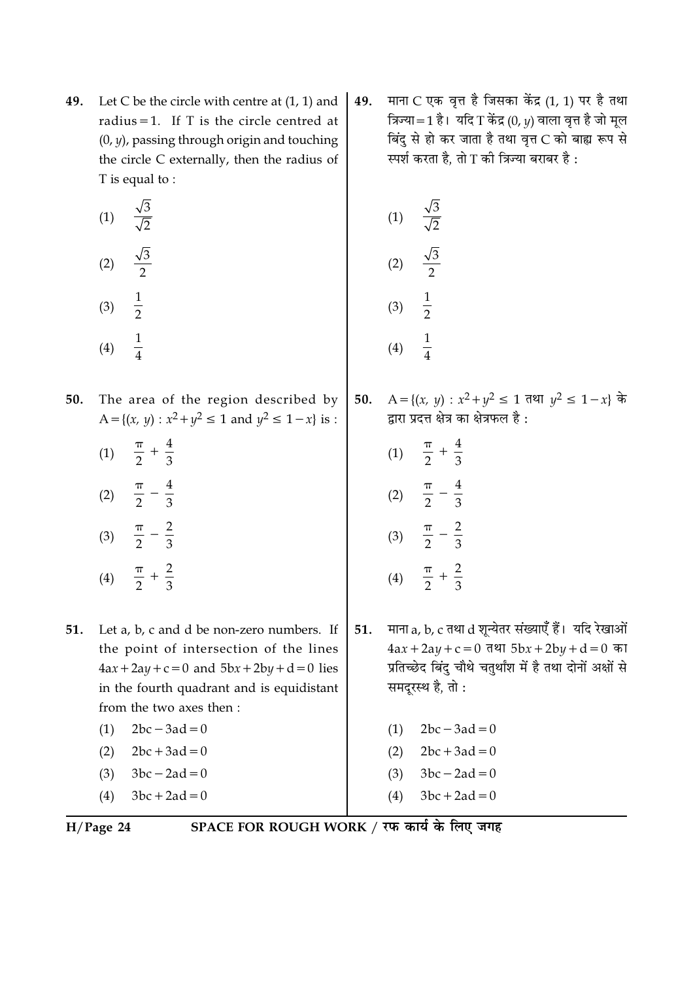- Let C be the circle with centre at  $(1, 1)$  and 49. radius = 1. If  $T$  is the circle centred at  $(0, y)$ , passing through origin and touching the circle C externally, then the radius of T is equal to:
	- $\frac{\sqrt{3}}{\sqrt{2}}$  $(1)$  $\frac{\sqrt{3}}{2}$  $(2)$
	- $\frac{1}{2}$  $(3)$  $\frac{1}{4}$
	- $(4)$
- The area of the region described by 50. A = { $(x, y)$  :  $x^2 + y^2 \le 1$  and  $y^2 \le 1 - x$ } is :
	- (1)  $\frac{\pi}{2} + \frac{4}{3}$ (2)  $\frac{\pi}{2} - \frac{4}{3}$ (3)  $\frac{\pi}{2} - \frac{2}{3}$
	- $\frac{\pi}{2} + \frac{2}{3}$  $(4)$
- Let a, b, c and d be non-zero numbers. If 51. the point of intersection of the lines  $4ax + 2ay + c = 0$  and  $5bx + 2by + d = 0$  lies in the fourth quadrant and is equidistant from the two axes then :
	- $(1)$  $2bc - 3ad = 0$  $(2)$  $2bc + 3ad = 0$  $3bc - 2ad = 0$  $(3)$
	- $(4)$  $3bc + 2ad = 0$
- $H/Page 24$

SPACE FOR ROUGH WORK / रफ कार्य के लिए जगह

माना C एक वृत्त है जिसका केंद्र (1, 1) पर है तथा 49. त्रिज्या=1 है। यदि T केंद्र (0,  $\nu$ ) वाला वृत्त है जो मूल बिंदु से हो कर जाता है तथा वृत्त C को बाह्य रूप से स्पर्श करता है, तो T की त्रिज्या बराबर है:

(1) 
$$
\frac{\sqrt{3}}{\sqrt{2}}
$$
  
\n(2)  $\frac{\sqrt{3}}{2}$   
\n(3)  $\frac{1}{2}$   
\n(4)  $\frac{1}{4}$ 

A = {(x, y) :  $x^2 + y^2$  ≤ 1 तथा  $y^2$  ≤ 1 - x} के 50. द्रारा प्रदत्त क्षेत्र का क्षेत्रफल है:

- (1)  $\frac{\pi}{2} + \frac{4}{3}$ (2)  $\frac{\pi}{2} - \frac{4}{3}$
- (3)  $\frac{\pi}{2} \frac{2}{3}$  $\frac{\pi}{2} + \frac{2}{3}$  $(4)$
- माना a, b, c तथा d शून्येतर संख्याएँ हैं। यदि रेखाओं 51.  $4ax + 2ay + c = 0$  तथा  $5bx + 2by + d = 0$  का प्रतिच्छेद बिंदु चौथे चतुर्थांश में है तथा दोनों अक्षों से समदुरस्थ है, तो:
	- $(1)$  $2bc - 3ad = 0$  $(2)$  $2bc + 3ad = 0$  $3bc - 2ad = 0$  $(3)$ 
		-
	- $(4)$  $3bc + 2ad = 0$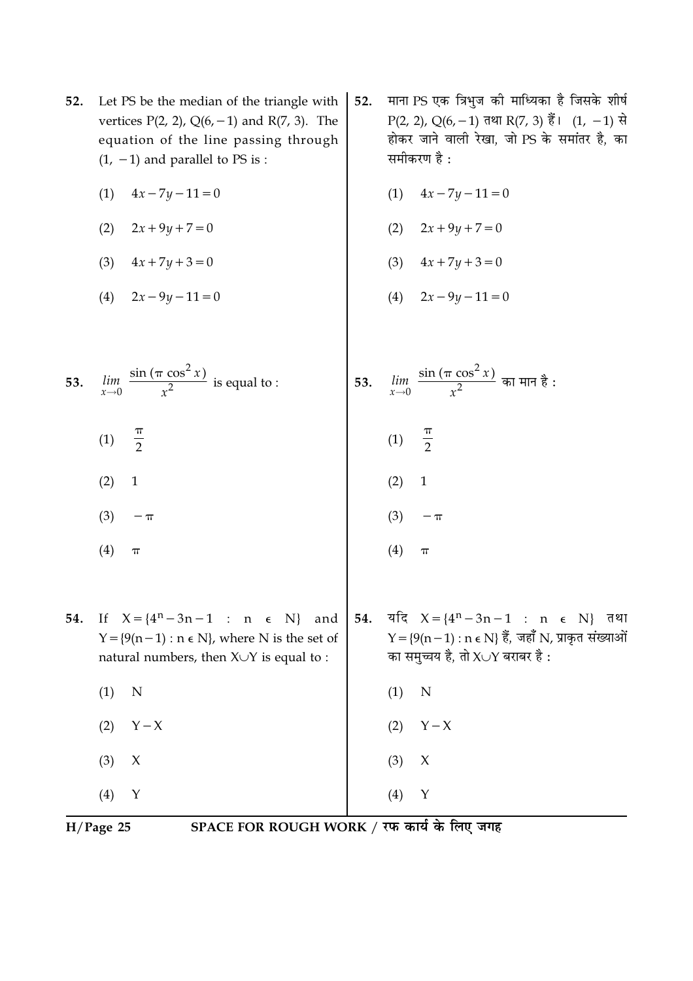- Let PS be the median of the triangle with 52. vertices  $P(2, 2)$ ,  $Q(6, -1)$  and  $R(7, 3)$ . The equation of the line passing through  $(1, -1)$  and parallel to PS is :
	- (1)  $4x 7y 11 = 0$
	- $(2)$  $2x + 9y + 7 = 0$
	- (3)  $4x + 7y + 3 = 0$
	- (4)  $2x 9y 11 = 0$
- $\lim_{x\to 0}$   $\frac{\sin (\pi \cos^2 x)}{x^2}$  is equal to : 53.
	- $\frac{\pi}{2}$  $(1)$
	- $(2)$  $\mathbf{1}$
	- $(4)$  $\boldsymbol{\pi}$

 $(3)$ 

- 54. If  $X = \{4^n 3n 1 : n \in N\}$  and
	- natural numbers, then  $X \cup Y$  is equal to :  $(1)$  $\mathbf N$
	- $Y X$  $(2)$
	- $(3)$  $\chi$
	- $(4)$

 $H/Page$  25

SPACE FOR ROUGH WORK / रफ कार्य के लिए जगह

- माना PS एक त्रिभुज की माध्यिका है जिसके शीर्ष  $52.$ P(2, 2), Q(6, -1) तथा R(7, 3) हैं। (1, -1) से होकर जाने वाली रेखा. जो PS के समांतर है. का समीकरण है :
	- $4x 7y 11 = 0$  $(1)$
	- $2x + 9y + 7 = 0$  $(2)$
	- (3)  $4x + 7y + 3 = 0$
	- $2x 9y 11 = 0$  $(4)$
- $\frac{\sin{(\pi \cos^2{x})}}{x^2}$  का मान है : lim 53.  $\frac{\pi}{2}$  $(1)$  $(2)$  $\mathbf{1}$  $(3)$  $-\pi$  $(4)$  $\pi$
- 54. यदि  $X = \{4^n - 3n - 1 : n \in N\}$  तथा  $Y = \{9(n-1) : n \in N\}$  हैं, जहाँ N, प्राकृत संख्याओं  $Y = \{9(n-1) : n \in N\}$ , where N is the set of का समुच्चय है, तो X $\cup$ Y बराबर है :
	- $Y X$  $(2)$

 $(4)$ 

 $(1)$ 

N

 $\mathsf{X}$ 

 $\mathbf Y$ 

- 
- $(3)$
- $\mathbf Y$

 $-\pi$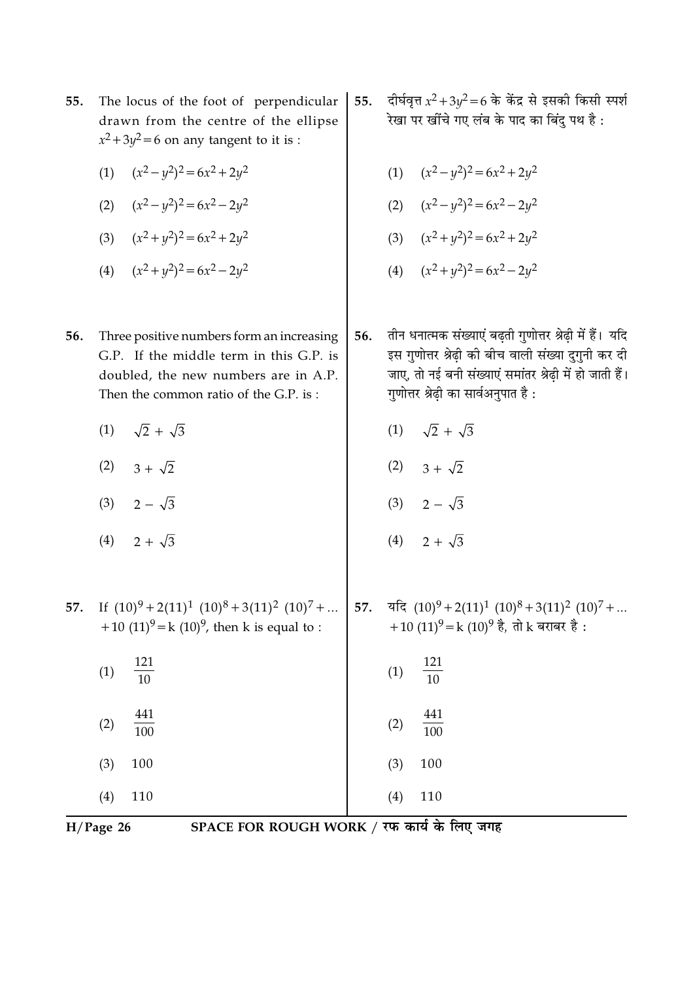| 55. The locus of the foot of perpendicular |
|--------------------------------------------|
| drawn from the centre of the ellipse       |
| $x^2+3y^2=6$ on any tangent to it is :     |

- (1)  $(x^2 y^2)^2 = 6x^2 + 2y^2$
- (2)  $(x^2 y^2)^2 = 6x^2 2y^2$
- (3)  $(x^2 + y^2)^2 = 6x^2 + 2y^2$
- (4)  $(x^2 + y^2)^2 = 6x^2 2y^2$
- 56. Three positive numbers form an increasing G.P. If the middle term in this G.P. is doubled, the new numbers are in A.P. Then the common ratio of the G.P. is:
	- $(1)$  $\sqrt{2} + \sqrt{3}$
	- $(2)$   $3 + \sqrt{2}$
	- (3)  $2 \sqrt{3}$
	- $(4)$  $2 + \sqrt{3}$
- दीर्घवृत्त  $x^2 + 3y^2 = 6$  के केंद्र से इसकी किसी स्पर्श 55. .<br>रेखा पर खींचे गए लंब के पाद का बिंदु पथ है:
	- (1)  $(x^2 y^2)^2 = 6x^2 + 2y^2$
	- (2)  $(x^2 y^2)^2 = 6x^2 2y^2$
	- (3)  $(x^2 + y^2)^2 = 6x^2 + 2y^2$
	- (4)  $(x^2+y^2)^2=6x^2-2y^2$
- तीन धनात्मक संख्याएं बढ़ती गुणोत्तर श्रेढ़ी में हैं। यदि 56. इस गुणोत्तर श्रेढ़ी की बीच वाली संख्या दुगुनी कर दी जाए, तो नई बनी संख्याएं समांतर श्रेढ़ी में हो जाती हैं। गुणोत्तर श्रेढ़ी का सार्वअनुपात है:
	- $\sqrt{2} + \sqrt{3}$  $(1)$
	- (2)  $3 + \sqrt{2}$
	- (3)  $2 \sqrt{3}$
	- (4)  $2 + \sqrt{3}$
- 57. If  $(10)^9 + 2(11)^1 (10)^8 + 3(11)^2 (10)^7 + ...$  57.  $\overline{4}$   $(10)^9 + 2(11)^1 (10)^8 + 3(11)^2 (10)^7 + ...$

| +10 $(11)^{9}$ = k $(10)^{9}$ , then k is equal to : | +10 (11) $\mathrm{y} = k(10)$ <sup>9</sup> है, तो k बराबर है : |
|------------------------------------------------------|----------------------------------------------------------------|
| $\frac{121}{10}$                                     | $\frac{121}{10}$                                               |
| (1)                                                  | (1)                                                            |
| $\frac{441}{100}$                                    | $\frac{441}{100}$                                              |
| (2)                                                  | (2)                                                            |
| 100                                                  | 100                                                            |
| (3)                                                  | (3)                                                            |
| (4)                                                  | (4)                                                            |
| 110                                                  | 110                                                            |

 $H/Page$  26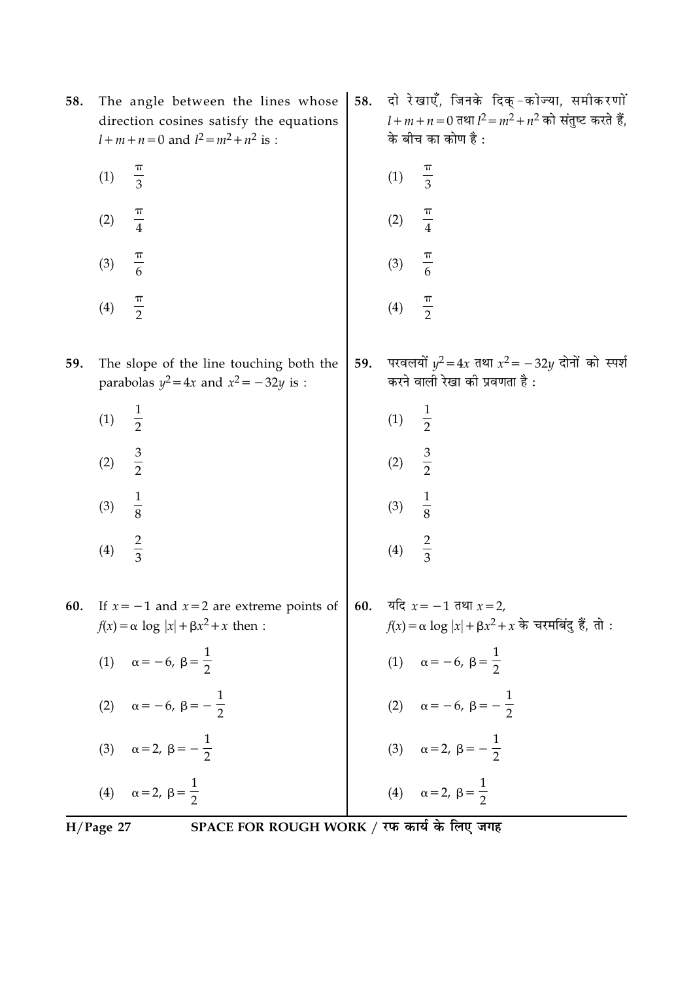| 58. | The angle between the lines whose<br>direction cosines satisfy the equations<br>$l+m+n=0$ and $l^2 = m^2 + n^2$ is : | 58. | दो रेखाएँ, जिनके दिक्-कोज्या, समीकरणों<br>$l + m + n = 0$ तथा $l^2 = m^2 + n^2$ को संतुष्ट करते हैं,<br>के बीच का कोण है : |
|-----|----------------------------------------------------------------------------------------------------------------------|-----|----------------------------------------------------------------------------------------------------------------------------|
|     | $\frac{\pi}{3}$<br>(1)                                                                                               |     | (1)<br>$\frac{1}{3}$                                                                                                       |
|     | $\frac{\pi}{4}$<br>(2)                                                                                               |     | $\frac{\pi}{4}$<br>(2)                                                                                                     |
|     | $\frac{\pi}{6}$<br>(3)                                                                                               |     | $\frac{\pi}{6}$<br>(3)                                                                                                     |
|     | $\frac{\pi}{2}$<br>(4)                                                                                               |     | $\frac{\pi}{2}$<br>(4)                                                                                                     |
| 59. | The slope of the line touching both the<br>parabolas $y^2 = 4x$ and $x^2 = -32y$ is :                                | 59. | परवलयों $y^2 = 4x$ तथा $x^2 = -32y$ दोनों को स्पर्श<br>करने वाली रेखा की प्रवणता है :                                      |
|     | $\frac{1}{2}$<br>(1)                                                                                                 |     | $\frac{1}{2}$<br>(1)                                                                                                       |
|     | $rac{3}{2}$<br>(2)                                                                                                   |     | $rac{3}{2}$<br>(2)                                                                                                         |
|     | $\frac{1}{8}$<br>(3)                                                                                                 |     | $\frac{1}{8}$<br>(3)                                                                                                       |
|     | $rac{2}{3}$<br>(4)                                                                                                   |     | $rac{2}{3}$<br>(4)                                                                                                         |
| 60. | If $x = -1$ and $x = 2$ are extreme points of<br>$f(x) = \alpha \log  x  + \beta x^2 + x$ then :                     | 60. | यदि $x = -1$ तथा $x = 2$ ,<br>$f(x) = \alpha \log  x  + \beta x^2 + x$ के चरमबिंदु हैं, तो :                               |
|     | (1) $\alpha = -6, \ \beta = \frac{1}{2}$                                                                             |     | (1) $\alpha = -6, \ \beta = \frac{1}{2}$                                                                                   |
|     | (2) $\alpha = -6, \beta = -\frac{1}{2}$                                                                              |     | (2) $\alpha = -6, \beta = -\frac{1}{2}$                                                                                    |
|     | (3) $\alpha = 2, \beta = -\frac{1}{2}$                                                                               |     | (3) $\alpha = 2, \beta = -\frac{1}{2}$                                                                                     |
|     | (4) $\alpha = 2, \ \beta = \frac{1}{2}$                                                                              |     | (4) $\alpha = 2, \ \beta = \frac{1}{2}$                                                                                    |

 $\overline{H/Page 27}$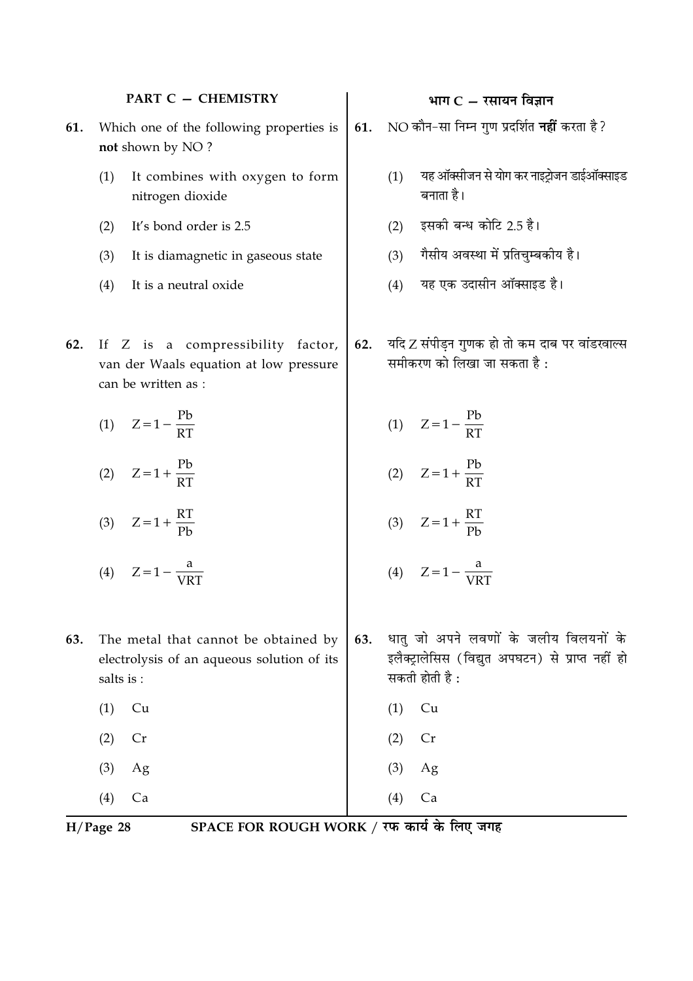#### **PART C - CHEMISTRY**

- Which one of the following properties is 61. not shown by NO?
	- It combines with oxygen to form  $(1)$ nitrogen dioxide
	- $(2)$ It's bond order is 2.5
	- It is diamagnetic in gaseous state  $(3)$
	- $(4)$ It is a neutral oxide
- 62. If Z is a compressibility factor, van der Waals equation at low pressure can be written as :

$$
(1) \quad Z = 1 - \frac{Pb}{RT}
$$

(2)  $Z = 1 + \frac{Pb}{RT}$ 

$$
(3) \quad Z=1+\frac{RT}{Pb}
$$

- (4)  $Z = 1 \frac{a}{VRT}$
- The metal that cannot be obtained by 63. electrolysis of an aqueous solution of its salts is :
	- $(1)$  $Cu$
	- $(2)$  $Cr$
	- $(3)$ Ag
	- $(4)$  $Ca$

SPACE FOR ROUGH WORK / रफ कार्य के लिए जगह

## भाग $C - \bar{x}$ सायन विज्ञान

- NO कौन-सा निम्न गुण प्रदर्शित **नहीं** करता है? 61.
	- यह ऑक्सीजन से योग कर नाइटोजन डाईऑक्साइड  $(1)$ बनाता है।
	- इसकी बन्ध कोटि 2.5 है।  $(2)$
	- गैसीय अवस्था में प्रतिचुम्बकीय है।  $(3)$
	- यह एक उदासीन ऑक्साइड है।  $(4)$
- यदि Z संपीड़न गुणक हो तो कम दाब पर वांडरवाल्स 62. समीकरण को लिखा जा सकता है :
	- (1)  $Z = 1 \frac{Pb}{RT}$ (2)  $Z = 1 + \frac{Pb}{RT}$

$$
(3) \quad Z = 1 + \frac{RT}{Pb}
$$

$$
(4) \quad Z = 1 - \frac{a}{\text{VRT}}
$$

Ag

 $Ca$ 

- धातू जो अपने लवणों के जलीय विलयनों के 63. इलैक्ट्रालेसिस (विद्युत अपघटन) से प्राप्त नहीं हो सकती होती है :
- $(1)$  $Cu$

 $(4)$ 

- $(2)$  $Cr$
- 
- $(3)$

 $H/Page$  28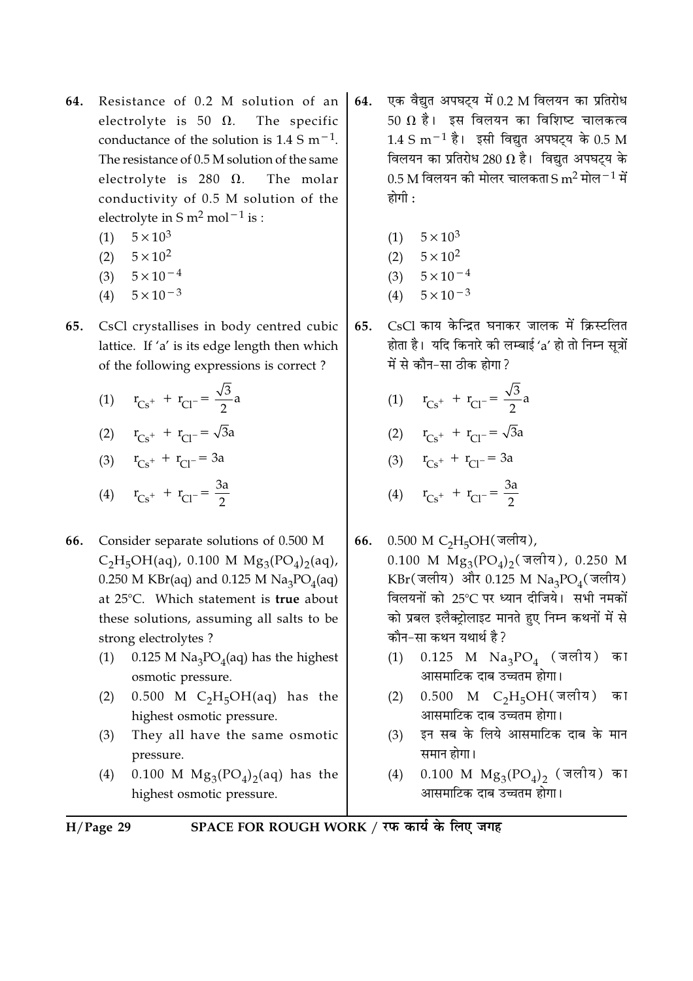- Resistance of 0.2 M solution of an 64. electrolyte is 50  $\Omega$ . The specific conductance of the solution is  $1.4 \text{ S m}^{-1}$ . The resistance of 0.5 M solution of the same electrolyte is 280  $\Omega$ . The molar conductivity of 0.5 M solution of the electrolyte in S  $m^2$  mol<sup>-1</sup> is :
	- $5 \times 10^3$  $(1)$
	- $5 \times 10^2$  $(2)$
	- $(3)$   $5 \times 10^{-4}$
	- $5 \times 10^{-3}$  $(4)$
- CsCl crystallises in body centred cubic 65. lattice. If 'a' is its edge length then which of the following expressions is correct?
	- (1)  $r_{Cs} + r_{Cl} = \frac{\sqrt{3}}{2}a$ (2)  $r_{Cs^+} + r_{Cl^-} = \sqrt{3}a$ (3)  $r_{Cs} + r_{Cl} = 3a$ (4)  $r_{Cs} + r_{Cl} = \frac{3a}{2}$
- Consider separate solutions of 0.500 M 66.  $C_2H_5OH(aq)$ , 0.100 M  $Mg_3(PO_4)_2(aq)$ , 0.250 M KBr(aq) and 0.125 M  $\text{Na}_3\text{PO}_4$ (aq) at 25°C. Which statement is true about these solutions, assuming all salts to be strong electrolytes?
	- $0.125$  M Na<sub>3</sub>PO<sub>4</sub>(aq) has the highest  $(1)$ osmotic pressure.
	- 0.500 M  $C_2H_5OH(aq)$  has the  $(2)$ highest osmotic pressure.
	- $(3)$ They all have the same osmotic pressure.
	- 0.100 M  $Mg_3(PO_4)_2(aq)$  has the  $(4)$ highest osmotic pressure.
- एक वैद्युत अपघट्य में 0.2 M विलयन का प्रतिरोध 64. 50  $\Omega$  है। इस विलयन का विशिष्ट चालकत्व  $1.4 \text{ S m}^{-1}$  है। इसी विद्यत अपघटय के 0.5 M विलयन का प्रतिरोध 280  $\Omega$  है। विद्युत अपघट्य के  $0.5$  M विलयन की मोलर चालकता S m<sup>2</sup> मोल $^{-1}$  में होगी :
	- $(1)$   $5 \times 10^3$
	- (2)  $5 \times 10^2$
	- $(3)$   $5 \times 10^{-4}$
	- $5 \times 10^{-3}$  $(4)$
- CsCl काय केन्द्रित घनाकर जालक में क्रिस्टलित 65. होता है। यदि किनारे की लम्बाई 'a' हो तो निम्न सूत्रों में से कौन-सा तीक होगा?
	- (1)  $r_{Cs^+} + r_{Cl^-} = \frac{\sqrt{3}}{2}a$

(2) 
$$
r_{Cs^+} + r_{Cl^-} = \sqrt{3}a
$$

(3) 
$$
r_{Cs^+} + r_{Cl^-} = 3a
$$

(4) 
$$
r_{Cs^+} + r_{Cl^-} = \frac{3d}{2}
$$

- 66. 0.500 M C<sub>2</sub>H<sub>5</sub>OH(जलीय), 0.100 M  $Mg_3(PO_4)_2$  (जलीय), 0.250 M KBr(जलीय) और 0.125 M Na3PO<sub>4</sub>(जलीय) विलयनों को 25°C पर ध्यान दीजिये। सभी नमकों को प्रबल इलैक्टोलाइट मानते हुए निम्न कथनों में से कौन-सा कथन यथार्थ है?
	- $0.125$  M  $\mathrm{Na_{3}PO_{4}}$  (जलीय) का  $(1)$ आसमाटिक दाब उच्चतम होगा।
	- $0.500$  M C<sub>2</sub>H<sub>5</sub>OH(जलीय) का  $(2)$ आसमाटिक दाब उच्चतम होगा।
	- इन सब के लिये आसमाटिक दाब के मान  $(3)$ समान होगा।
	- 0.100 M  $Mg_3(PO_4)_2$  (जलीय) का  $(4)$ आसमाटिक दाब उच्चतम होगा।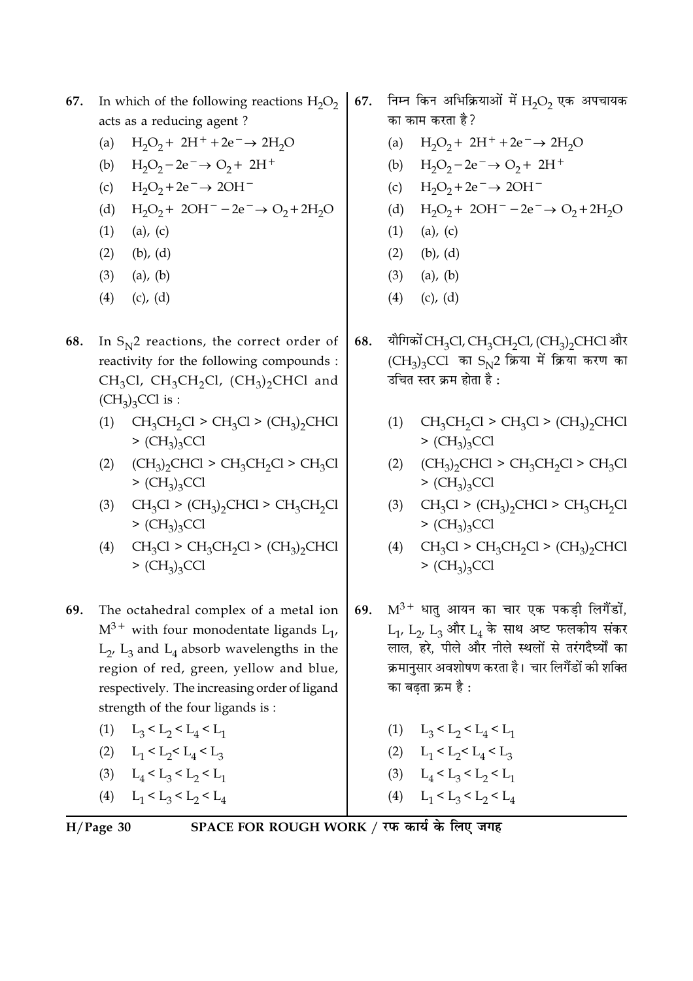#### In which of the following reactions  $H_2O_2$ 67. acts as a reducing agent?

- (a)  $H_2O_2 + 2H^+ + 2e^- \rightarrow 2H_2O$
- (b)  $H_2O_2 2e^- \rightarrow O_2 + 2H^+$
- (c)  $H_2O_2 + 2e^- \rightarrow 2OH^-$
- (d)  $H_2O_2 + 2OH^- 2e^- \rightarrow O_2 + 2H_2O$
- $(1)$  $(a)$ ,  $(c)$
- $(2)$   $(b)$ ,  $(d)$
- $(3)$  (a), (b)
- $(4)$  $(c)$ ,  $(d)$
- 68. In  $S_N^2$  reactions, the correct order of reactivity for the following compounds :  $CH_3Cl$ ,  $CH_3CH_2Cl$ ,  $(CH_3)_2CHCl$  and  $(CH_3)_3$ CCl is :
	- (1)  $CH_3CH_2Cl > CH_3Cl > (CH_3)_2CHCl$  $>(CH<sub>3</sub>)<sub>3</sub>CCl$
	- (2)  $(CH_3)_2CHCl > CH_3CH_2Cl > CH_3Cl$  $>(CH<sub>3</sub>)<sub>3</sub>CCl$
	- (3)  $CH_3Cl > (CH_3)_2CHCl > CH_3CH_2Cl$  $>(CH<sub>3</sub>)<sub>3</sub>CCl$
	- (4)  $CH_3Cl > CH_3CH_2Cl > (CH_3)_2CHCl$  $>(CH<sub>3</sub>)<sub>3</sub>CCl$
- 69. The octahedral complex of a metal ion  $M^{3+}$  with four monodentate ligands  $L_1$ ,  $L_2$ ,  $L_3$  and  $L_4$  absorb wavelengths in the region of red, green, yellow and blue, respectively. The increasing order of ligand strength of the four ligands is:
	- (1)  $L_3 < L_2 < L_4 < L_1$ (2)  $L_1 < L_2 < L_4 < L_3$ (3)  $L_1 < L_2 < L_2 < L_1$
	- (4)  $L_1 < L_3 < L_2 < L_4$
- $H/Page$  30

SPACE FOR ROUGH WORK / रफ कार्य के लिए जगह

- निम्न किन अभिक्रियाओं में  $H_2O_2$  एक अपचायक 67. का काम करता है ?
	- (a)  $H_2O_2 + 2H^+ + 2e^- \rightarrow 2H_2O$
	- (b)  $H_2O_2 2e^- \rightarrow O_2 + 2H^+$
	- (c)  $H_2O_2 + 2e^- \rightarrow 2OH^-$
	- (d)  $H_2O_2 + 2OH^- 2e^- \rightarrow O_2 + 2H_2O$
	- $(1)$  $(a)$ ,  $(c)$
	- $(2)$  $(b)$ ,  $(d)$
	- $(3)$  $(a)$ ,  $(b)$
	- $(c)$ ,  $(d)$  $(4)$
- यौगिकों CH<sub>3</sub>Cl, CH<sub>3</sub>CH<sub>2</sub>Cl, (CH<sub>3</sub>)<sub>2</sub>CHCl और 68.  $(CH_3)_3$ CCl का  $S_N$ 2 क्रिया में क्रिया करण का उचित स्तर कम होता है  $\cdot$ 
	- (1)  $CH_3CH_2Cl > CH_3Cl > (CH_3)_2CHCl$  $>(CH<sub>3</sub>)<sub>3</sub>CCl$
	- $(2)$  $(CH_3)_2CHCl > CH_3CH_2Cl > CH_3Cl$  $>(CH<sub>3</sub>)<sub>3</sub>CC1$
	- (3)  $CH<sub>3</sub>Cl > (CH<sub>3</sub>)<sub>2</sub>CHCl > CH<sub>3</sub>CH<sub>2</sub>Cl$  $>(CH<sub>3</sub>)<sub>3</sub>CCl$
	- (4)  $CH_3Cl > CH_3CH_2Cl > (CH_3)_2CHCl$  $>(CH<sub>3</sub>)<sub>3</sub>CCl$
- $M^{3+}$  धात आयन का चार एक पकडी लिगैंडों. 69.  $L_1$ ,  $L_2$ ,  $L_3$  और  $L_4$  के साथ अष्ट फलकीय संकर लाल, हरे, पीले और नीले स्थलों से तरंगदैर्घ्यों का क्रमानुसार अवशोषण करता है। चार लिगैंडों की शक्ति का बढता क्रम है :

(1)  $L_3 < L_2 < L_4 < L_1$ (2)  $L_1 < L_2 < L_4 < L_3$ (3)  $L_4 < L_3 < L_2 < L_1$ (4)  $L_1 < L_3 < L_2 < L_4$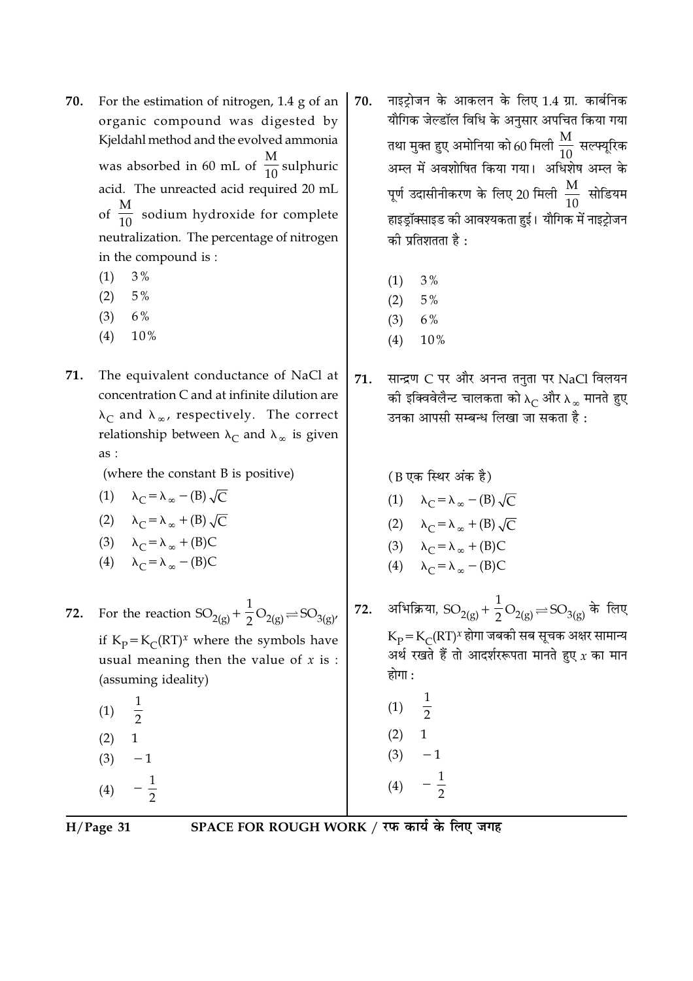- For the estimation of nitrogen, 1.4 g of an 70. organic compound was digested by Kieldahl method and the evolved ammonia was absorbed in 60 mL of  $\frac{M}{10}$  sulphuric acid. The unreacted acid required 20 mL of  $\frac{M}{10}$  sodium hydroxide for complete neutralization. The percentage of nitrogen in the compound is:
	- $3%$  $(1)$
	- $(2)$  $5\%$
	- $6%$  $(3)$
	- $(4)$ 10%
- 71. The equivalent conductance of NaCl at concentration C and at infinite dilution are  $\lambda_C$  and  $\lambda_\infty$ , respectively. The correct relationship between  $\lambda_C$  and  $\lambda_\infty$  is given as:

(where the constant B is positive)

- (1)  $\lambda_C = \lambda_{\infty} (B) \sqrt{C}$
- (2)  $\lambda_C = \lambda_\infty + (B) \sqrt{C}$
- (3)  $\lambda_C = \lambda_{\infty} + (B)C$
- (4)  $\lambda_C = \lambda_{\infty} (B)C$
- For the reaction  $SO_{2(g)} + \frac{1}{2}O_{2(g)} \rightleftharpoons SO_{3(g)}$ 72. if  $K_p = K_C (RT)^x$  where the symbols have usual meaning then the value of  $x$  is : (assuming ideality)
	- $(1)$  $\overline{2}$  $(2)$  $\mathbf{1}$  $(3)$  $-1$  $(4)$

नाइटोजन के आकलन के लिए 1.4 ग्रा. कार्बनिक 70. यौगिक जेल्डॉल विधि के अनुसार अपचित किया गया तथा मुक्त हुए अमोनिया को 60 मिली  $\frac{\text{M}}{10}$  सल्फ्यूरिक अम्ल में अवशोषित किया गया। अधिशेष अम्ल के पूर्ण उदासीनीकरण के लिए 20 मिली  $\frac{\rm M}{\rm 10}$  सोडियम हाइड्रॉक्साइड की आवश्यकता हुई। यौगिक में नाइट्रोजन की प्रतिशतता है :

- $3%$  $(1)$
- $5%$  $(2)$
- $6\%$  $(3)$
- $(4)$ 10%
- सान्द्रण C पर और अनन्त तनुता पर NaCl विलयन 71. की इक्विवेलैन्ट चालकता को  $\lambda_C$  और  $\lambda_\infty$  मानते हुए उनका आपसी सम्बन्ध लिखा जा सकता है:
- (B एक स्थिर अंक है) (1)  $\lambda_C = \lambda_\infty - (B) \sqrt{C}$ (2)  $\lambda_C = \lambda_\infty + (B) \sqrt{C}$ (3)  $\lambda_C = \lambda_{\infty} + (B)C$ (4)  $\lambda_C = \lambda_\infty - (B)C$ अभिक्रिया,  ${\rm SO}_{2(g)} + \frac{1}{2}{\rm O}_{2(g)} \,{\rightleftharpoons}\, {\rm SO}_{3(g)}$  के लिए 72.  $K_{\rm p}$  =  $K_{\rm C}$ (RT)<sup>x</sup> होगा जबकी सब सूचक अक्षर सामान्य अर्थ रखते हैं तो आदर्शररूपता मानते हुए  $\chi$  का मान होगा :
	- $(1)$  $\overline{2}$  $(2)$  $(3)$  $-\frac{1}{2}$

 $H/Page$  31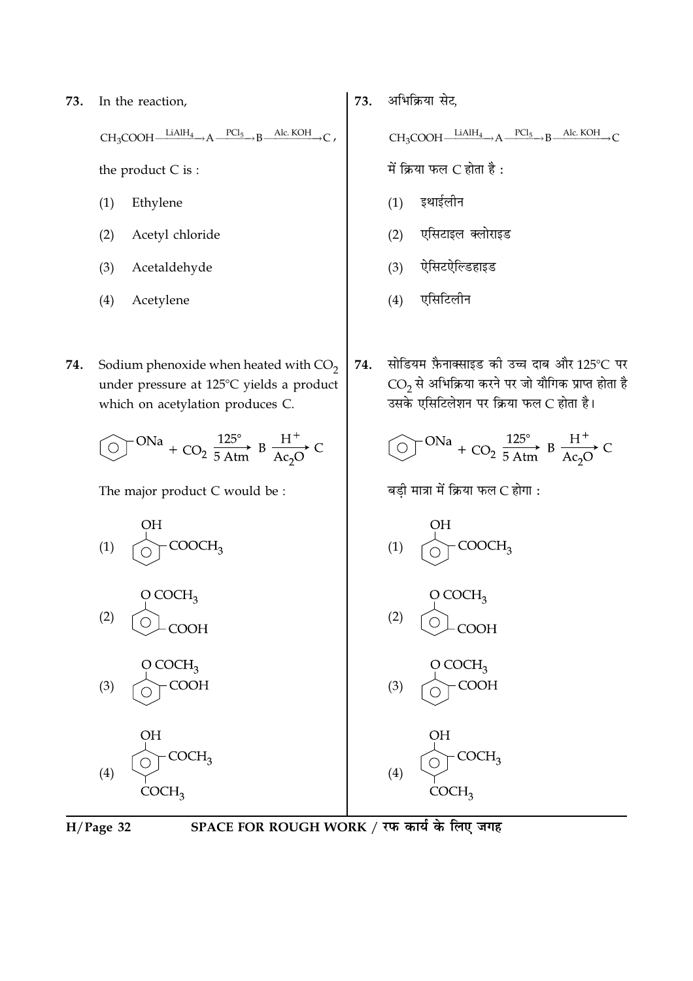In the reaction, 73.

> $CH_3COOH$   $\xrightarrow{\text{LiAlH}_4} A$  $\frac{PCl_5}{PCl_5}$  B  $\frac{\text{Alc. KOH}}{PCl_5}$

the product C is:

- Ethylene  $(1)$
- $(2)$ Acetyl chloride
- Acetaldehyde  $(3)$
- Acetylene  $(4)$
- Sodium phenoxide when heated with  $CO<sub>2</sub>$ 74. under pressure at 125°C yields a product which on acetylation produces C.

The major product C would be :



अभिक्रिया सेट. 73.

 $CH_3COOH$   $LiAlH_4 \rightarrow A$   $PCl_5 \rightarrow B$  Alc. KOH  $\rightarrow$  C

में क्रिया फल  $C$  होता है:

- $(1)$ इथाईलीन
- एसिटाइल क्लोराइड  $(2)$
- $(3)$ ऐसिटऐल्डिहाइड
- $(4)$ एसिटिलीन
- सोडियम फ़ैनाक्साइड की उच्च दाब और 125°C पर 74.  $\overline{\text{CO}_2}$ से अभिक्रिया करने पर जो यौगिक प्राप्त होता है उसके एसिटिलेशन पर क्रिया फल C होता है।

$$
\textcircled{ } \text{ }^{ONa} + \text{CO}_2 \xrightarrow{125^\circ} \text{B} \xrightarrow{H^+} \text{C}_2\text{O}
$$

बडी मात्रा में क्रिया फल C होगा :





SPACE FOR ROUGH WORK / रफ कार्य के लिए जगह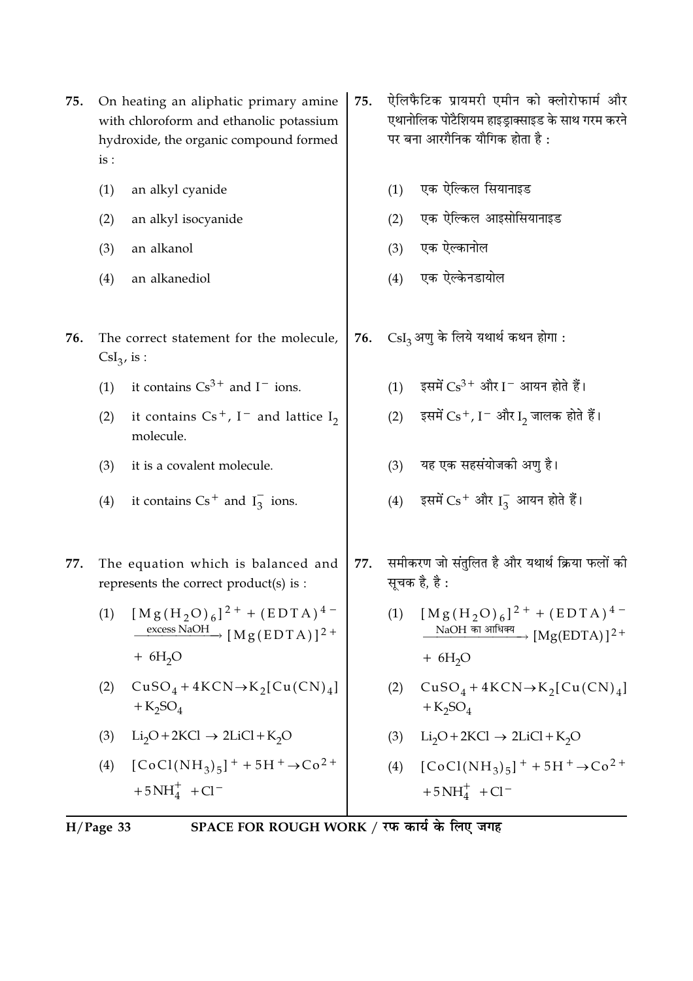|     | (1)                   | an alkyl cyanide                                                                                                         |     | (1) | एक ऐल्किल सियानाइड                                                                                                                        |
|-----|-----------------------|--------------------------------------------------------------------------------------------------------------------------|-----|-----|-------------------------------------------------------------------------------------------------------------------------------------------|
|     | (2)                   | an alkyl isocyanide                                                                                                      |     | (2) | एक ऐल्किल आइसोसियानाइड                                                                                                                    |
|     | (3)                   | an alkanol                                                                                                               |     | (3) | एक ऐल्कानोल                                                                                                                               |
|     | (4)                   | an alkanediol                                                                                                            |     | (4) | एक ऐल्केनडायोल                                                                                                                            |
| 76. | $\text{CsI}_3$ , is : | The correct statement for the molecule,                                                                                  | 76. |     | $\text{CsI}_3$ अणु के लिये यथार्थ कथन होगा:                                                                                               |
|     | (1)                   | it contains $Cs^{3+}$ and $I^-$ ions.                                                                                    |     | (1) | इसमें $Cs^{3+}$ और I $^-$ आयन होते हैं।                                                                                                   |
|     | (2)                   | it contains $Cs^+$ , I <sup>-</sup> and lattice I <sub>2</sub><br>molecule.                                              |     | (2) | इसमें $Cs+$ , I $^-$ और I <sub>2</sub> जालक होते हैं।                                                                                     |
|     | (3)                   | it is a covalent molecule.                                                                                               |     | (3) | यह एक सहसंयोजकी अणु है।                                                                                                                   |
|     | (4)                   | it contains $Cs^+$ and $I_3^-$ ions.                                                                                     |     | (4) | इसमें $Cs$ <sup>+</sup> और $I_3^-$ आयन होते हैं।                                                                                          |
| 77. |                       | The equation which is balanced and<br>represents the correct product(s) is :                                             | 77. |     | समीकरण जो संतुलित है और यथार्थ क्रिया फलों की<br>सूचक है, है :                                                                            |
|     | (1)                   | $[Mg(H_2O)_6]^{2+} + (EDTA)^{4-}$<br>$\frac{\text{excess NaOH}}{\text{M g (EDTA)}}$ [Mg(EDTA)] <sup>2+</sup><br>$+ 6H2O$ |     | (1) | $[Mg(H_2O)_6]^{2+} + (EDTA)^{4-}$<br>$\frac{\text{NaOH}}{\text{m} \cdot \text{m} \cdot \text{m}}$ $\frac{\text{Mg(EDTA)}}{2}$<br>$+ 6H2O$ |
|     | (2)                   | $CuSO_4 + 4KCN \rightarrow K_2[Cu(CN)_4]$<br>$+K_2SO_4$                                                                  |     | (2) | $CuSO_4 + 4KCN \rightarrow K_2[Cu(CN)_4]$<br>$+K_2SO_4$                                                                                   |
|     | (3)                   | $Li_2O + 2KCl \rightarrow 2LiCl + K_2O$                                                                                  |     | (3) | $Li_2O + 2KCl \rightarrow 2LiCl + K_2O$                                                                                                   |
|     | (4)                   | $[CoCl(NH_3)_5]$ <sup>+</sup> + 5H <sup>+</sup> $\rightarrow$ Co <sup>2+</sup><br>$+5NH4+ + Cl-$                         |     | (4) | $[CoCl(NH_3)_5]$ <sup>+</sup> + 5H <sup>+</sup> $\rightarrow$ Co <sup>2+</sup><br>$+5NH4+ + Cl-$                                          |
|     |                       |                                                                                                                          |     |     |                                                                                                                                           |

75.

ऐलिफैटिक प्रायमरी एमीन को क्लोरोफार्म और

एथानोलिक पोटैशियम हाइड्राक्साइड के साथ गरम करने

पर बना आरगैनिक यौगिक होता है :

SPACE FOR ROUGH WORK / रफ कार्य के लिए जगह  $H/Page$  33

75. On heating an aliphatic primary amine

 $is:$ 

with chloroform and ethanolic potassium

hydroxide, the organic compound formed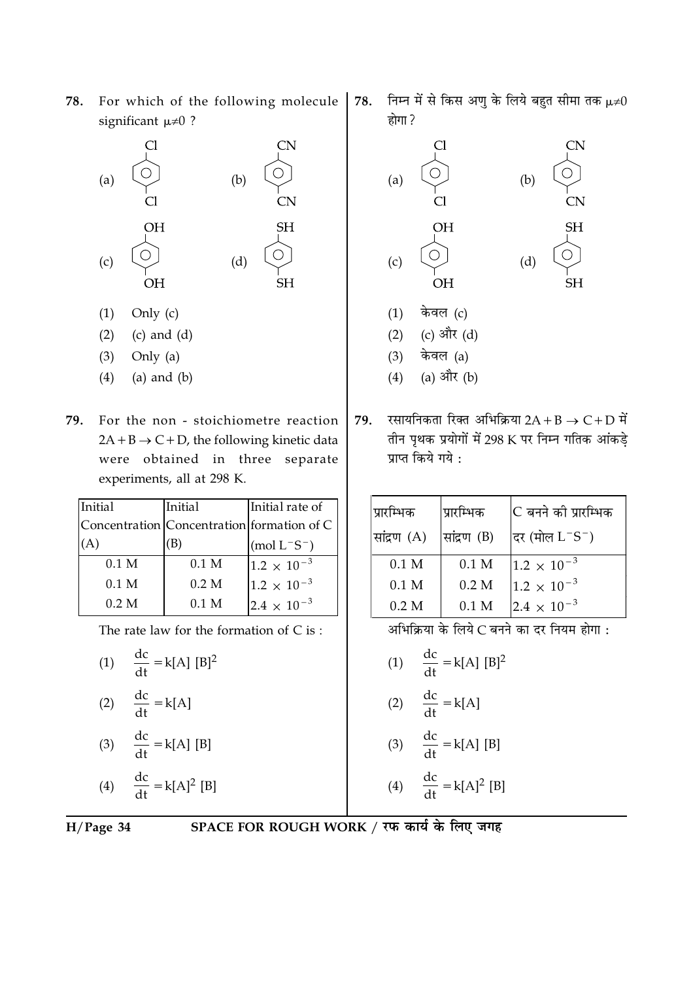**78.** For which of the following molecule significant  $\mu \neq 0$  ?

| (a) | Cl<br>Cl               | (b) | <b>CN</b><br><b>CN</b> |
|-----|------------------------|-----|------------------------|
| (c) | <b>OH</b><br><b>OH</b> | (d) | <b>SH</b><br><b>SH</b> |

- $(1)$  Only  $(c)$
- $(2)$   $(c)$  and  $(d)$
- $(3)$  Only  $(a)$
- $(4)$  (a) and  $(b)$
- <mark>79.</mark> For the non stoichiometre reaction  $2A + B \rightarrow C + D$ , the following kinetic data were obtained in three separate experiments, all at 298 K.

| Initial          | Initial          | Initial rate of                            |
|------------------|------------------|--------------------------------------------|
|                  |                  | Concentration Concentration formation of C |
|                  |                  | $(mod L^-S^-)$                             |
| 0.1 <sub>M</sub> | 0.1 <sub>M</sub> | $1.2 \times 10^{-3}$                       |
| 0.1 <sub>M</sub> | 0.2 M            | $1.2 \times 10^{-3}$                       |
| 0.2 M            | 0.1 <sub>M</sub> | $2.4 \times 10^{-3}$                       |

The rate law for the formation of  $C$  is :

(1) 
$$
\frac{dc}{dt} = k[A] [B]^2
$$
  
(2) 
$$
\frac{dc}{dt} = k[A]
$$
  
(3) 
$$
\frac{dc}{dt} = k[A] [B]
$$

$$
(4) \qquad \frac{\mathrm{d}c}{\mathrm{d}t} = k[A]^2 \text{ [B]}
$$

$$
H/Page 34 S
$$

**+,** -न में से किस अणु के लिये बहुत सीमा तक  $\mu\text{\neq}0$ होगा ?



 $79.$  रसायनिकता रिक्त अभिक्रिया  $2\text{A} + \text{B} \rightarrow \text{C} + \text{D}$  में तान पृथक प्रयोगों में 298 K पर निम्न गतिक आकड़े प्राप्त किये गये <mark>:</mark>

| प्रारम्भिक       | प्रारम्भिक       | C बनने को प्रारम्भिक    |
|------------------|------------------|-------------------------|
| सांद्रण (A)      | सांद्रण (B)      | दिर (मोल $\rm L^-S^-$ ) |
| 0.1 <sub>M</sub> | 0.1 <sub>M</sub> | $1.2 \times 10^{-3}$    |
| 0.1 M            | 0.2 M            | $1.2 \times 10^{-3}$    |
| 0.2 M            | 0.1 M            | $2.4 \times 10^{-3}$    |

आभोक्रया के लिये C बनने का दर नियम होगा <mark>:</mark>

(1) 
$$
\frac{dc}{dt} = k[A] [B]^2
$$
  
(2) 
$$
\frac{dc}{dt} = k[A]
$$

- $(2)$  $dt$
- $(3)$  $\frac{dc}{dt} = k[A] [B]$
- (4)  $\frac{dc}{dt} = k[A]^2 [B]$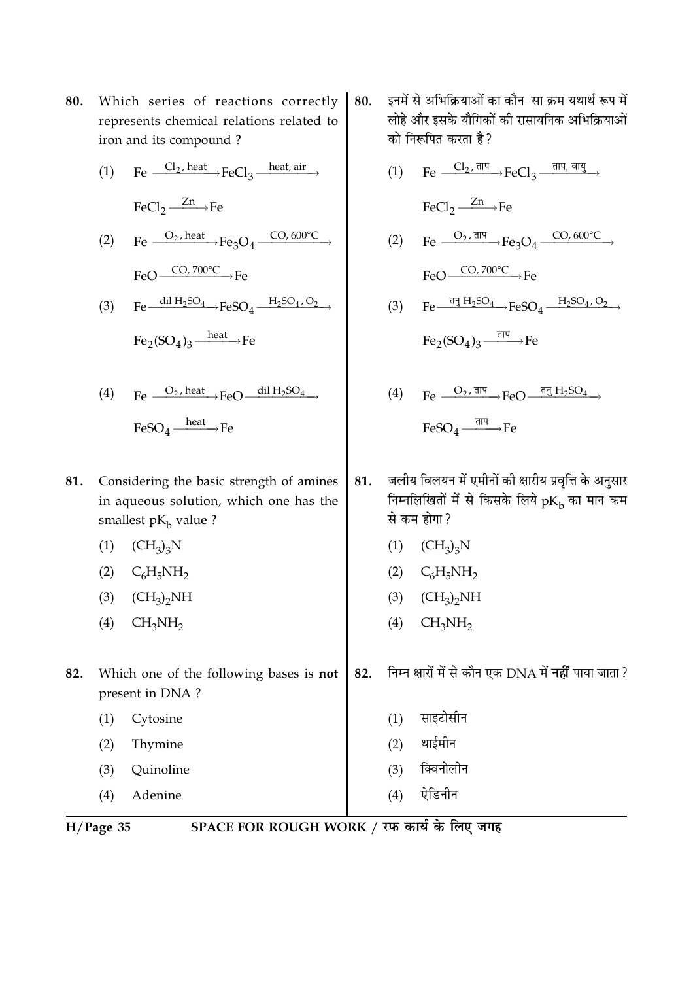- **80.** Which series of reactions correctly represents chemical relations related to iron and its compound ?
	- (1) Fe  $\frac{Cl_2, heat}{I}$  FeCl<sub>3</sub>  $\frac{heat, air}{I}$  $\text{FeCl}_2 \xrightarrow{Zn} \text{Fe}$
	- (2) Fe  $\frac{O_2 \text{ heat}}{1}$  Fe  $\frac{O_2}{1}$  Fe  $\frac{CO_2 \cdot 600^{\circ}C}{1}$  $FeO \longrightarrow CO, 700^{\circ}C \longrightarrow Fe$
	- (3) Fe  $\frac{\text{dil } H_2 \text{SO}_4}{\text{FeSO}_4} \rightarrow \text{FeSO}_4 \xrightarrow{H_2 \text{SO}_4, \text{O}_2}$  $Fe_2(SO_4)_3$   $\xrightarrow{heat} Fe$

(4) 
$$
\text{Fe} \xrightarrow{O_2, \text{heat}} \text{FeO} \xrightarrow{\text{dil } H_2SO_4} \text{FeSO}_4 \xrightarrow{\text{heat}} \text{Fe}
$$

- **81.** Considering the basic strength of amines in aqueous solution*,* which one has the smallest p $\rm K_b$  value ?
	- $(1)$   $(CH_3)_3N$
	- (2)  $C_6H_5NH_2$
	- (3)  $(CH_3)_2NH$
	- $(4)$   $CH<sub>3</sub>NH<sub>2</sub>$
- **82.** Which one of the following bases is **not** present in DNA ?
	- (1) Cytosine  $(2)$ Thymine
	- (3) Quinoline
	- (4) Adenine
- 80. इनमें से अभिक्रियाओं का कौन–सा क्रम यथार्थ रूप में लोह और इसके यौगिकों को रासायनिक अभिक्रियाओं को निरूपित करता है ?
	- $(1)$  Fe  $\frac{Cl_2$ , ताप errors  $FeCl_3 \xrightarrow{\pi \pi, \pi \pi_3}$  $\text{FeCl}_2 \xrightarrow{Zn} \text{Fe}$ (2) Fe  $\frac{O_2, \overline{\text{d}}\overline{\text{d}}}{\text{e}}$  Fe<sub>3</sub>O<sub>4</sub>  $\frac{\text{CO}, 600^{\circ}\text{C}}{\text{O}}$  $FeO \longrightarrow CO, 700^{\circ}C \longrightarrow Fe$ (3) Fe $\frac{\overline{\text{d}}\overline{\text{d}} H_2 \text{SO}_4}{\longrightarrow} \text{FeSO}_4 \xrightarrow{H_2 \text{SO}_4, \text{O}_2}$  $\text{Fe}_2(\text{SO}_4)_3\frac{\text{d} \text{H}}{\text{H} \text{H}}$  Fe
	- $(4)$  Fe  $\frac{O_2$ , ताप FeO  $\frac{1}{12}$  H<sub>2</sub>SO<sub>4</sub>  ${\rm FeSO}_4 \xrightarrow{\overline{\rm d}{\rm H}{\rm H}} {\rm Fe}$
- **81. जलीय विलयन में एमीनों की क्षारीय प्रवृत्ति के अनुसार** निम्नोलोखतो मै से किसके लिये p $\rm K_b$  का मान कम से कम होगा  $\ell$ 
	- $(1)$   $(CH_3)_3N$
	- (2)  $C_6H_5NH_2$
	- (3)  $(CH_3)_2NH$
	- $(4)$   $CH<sub>3</sub>NH<sub>2</sub>$

**,** -न क्षारों में से कौन एक DNA में **नहीं** पाया जाता ?

- (1) साइटोसीन
- (2) थाईमीन
- (3) क्विनोलीन
- $(4)$  ऐडिनीन

 $H/Page 35$  **SP**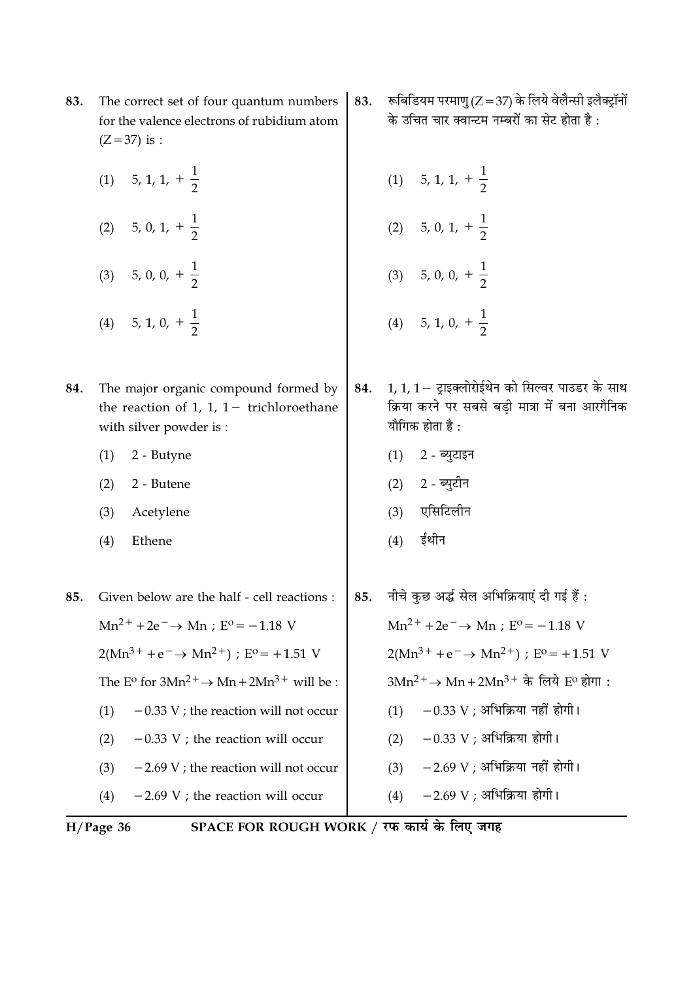- The correct set of four quantum numbers 83. for the valence electrons of rubidium atom  $(Z = 37)$  is :
	- (1) 5, 1, 1,  $+\frac{1}{2}$ (2) 5, 0, 1,  $+\frac{1}{2}$ (3) 5, 0, 0,  $+\frac{1}{2}$ (4) 5, 1, 0,  $+\frac{1}{2}$
- The major organic compound formed by 84. the reaction of 1, 1,  $1-$  trichloroethane with silver powder is:
	- 2 Butyne  $(1)$
	- 2 Butene  $(2)$
	- Acetylene  $(3)$
	- $(4)$ Ethene
- नीचे कुछ अर्द्ध सेल अभिक्रियाएं दी गई हैं : Given below are the half - cell reactions : 85. 85.  $Mn^{2+} + 2e^- \rightarrow Mn : E^0 = -1.18$  V  $Mn^{2+} + 2e^- \rightarrow Mn : E^0 = -1.18$  V  $2(Mn^{3+} + e^- \rightarrow Mn^{2+})$ ;  $E^{\circ} = +1.51$  V  $2(Mn^{3+} + e^- \rightarrow Mn^{2+})$ ;  $E^{\circ} = +1.51$  V The E<sup>o</sup> for  $3Mn^{2+} \rightarrow Mn + 2Mn^{3+}$  will be :  $3Mn^2$ <sup>+</sup> → Mn + 2Mn<sup>3+</sup> के लिये E<sup>o</sup> होगा:  $(1)$  - 0.33 V ; अभिक्रिया नहीं होगी।  $-0.33$  V ; the reaction will not occur  $(1)$  $(2) -0.33$  V ; अभिक्रिया होगी।  $-0.33$  V; the reaction will occur  $(2)$  $(3)$  - 2.69 V ; अभिक्रिया नहीं होगी।  $-2.69$  V; the reaction will not occur  $(3)$  $(4)$  $-2.69$  V ; the reaction will occur  $(4)$
- $H/Page$  36

SPACE FOR ROUGH WORK / रफ कार्य के लिए जगह

- रूबिडियम परमाणु (Z = 37) के लिये वेलैन्सी इलैक्ट्रॉनों 83. के उचित चार क्वान्टम नम्बरों का सेट होता है :
	- (1) 5, 1, 1,  $+\frac{1}{2}$ (2) 5, 0, 1,  $+\frac{1}{2}$ (3) 5, 0, 0,  $+\frac{1}{2}$ (4) 5, 1, 0,  $+\frac{1}{2}$
- 1, 1, 1 ट्राइक्लोरोईथेन को सिल्वर पाउडर के साथ 84. क्रिया करने पर सबसे बडी मात्रा में बना आरगैनिक यौगिक होता है :

 $-2.69$  V ; अभिक्रिया होगी।

- (1) 2 ब्युटाइन (2) 2 - ब्यूटीन
- (3) एसिटिलीन
- ईथीन  $(4)$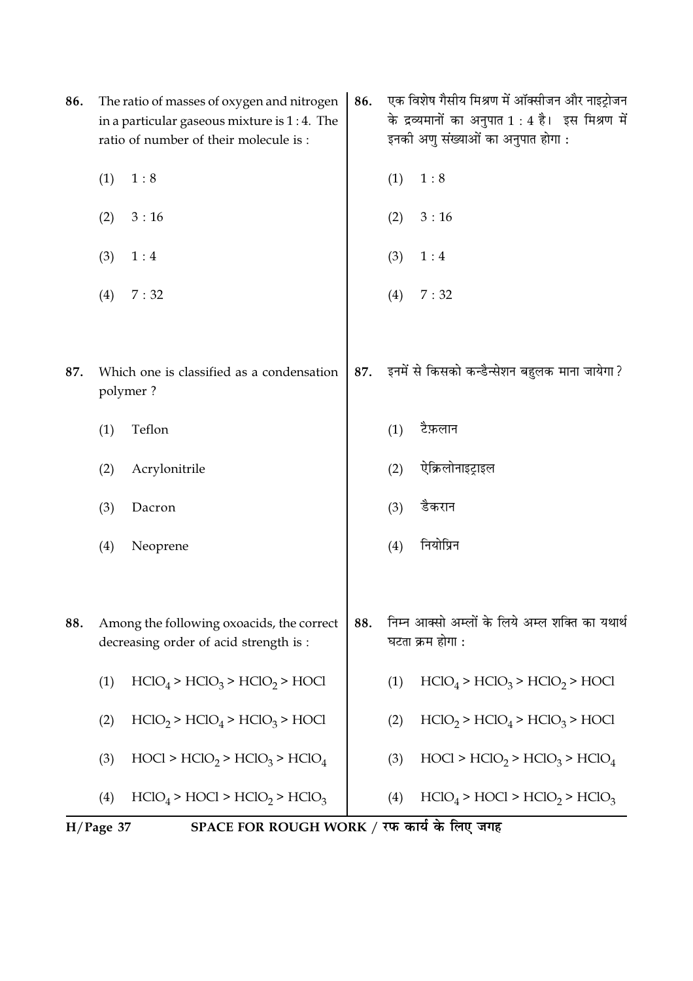|     | SPACE FOR ROUGH WORK / रफ कार्य के लिए जगह<br>$H/Page$ 37 |                                                                                         |     |     |                                                                                        |
|-----|-----------------------------------------------------------|-----------------------------------------------------------------------------------------|-----|-----|----------------------------------------------------------------------------------------|
|     | (4)                                                       | $HClO4 > HClO1 > HClO2 > HClO3$                                                         |     | (4) | $HClO4 > HClO2 > HClO3$                                                                |
|     | (3)                                                       | $HOC1 > HClO2 > HClO3 > HClO4$                                                          |     | (3) | $HOCI > HClO2 > HClO3 > HClO4$                                                         |
|     | (2)                                                       | $HClO2 > HClO4 > HClO3 > HOCl$                                                          |     | (2) | $HClO2 > HClO4 > HClO3 > HOCl$                                                         |
|     | (1)                                                       | $HClO4 > HClO3 > HClO2 > HOCl$                                                          |     | (1) | $HClO4 > HClO3 > HClO2 > HOCl$                                                         |
| 88. |                                                           | Among the following oxoacids, the correct<br>decreasing order of acid strength is :     | 88. |     | निम्न आक्सो अम्लों के लिये अम्ल शक्ति का यथार्थ<br>घटता क्रम होगा :                    |
|     | (4)                                                       | Neoprene                                                                                |     | (4) | नियोप्रिन                                                                              |
|     | (3)                                                       | Dacron                                                                                  |     | (3) | डैकरान                                                                                 |
|     | (2)                                                       | Acrylonitrile                                                                           |     | (2) | ऐक्रिलोनाइट्राइल                                                                       |
|     | (1)                                                       | Teflon                                                                                  |     | (1) | टैफ़लान                                                                                |
| 87. |                                                           | Which one is classified as a condensation<br>polymer?                                   | 87. |     | इनमें से किसको कन्डैन्सेशन बहुलक माना जायेगा ?                                         |
|     | (4)                                                       | 7:32                                                                                    |     | (4) | 7:32                                                                                   |
|     | (3)                                                       | 1:4                                                                                     |     | (3) | 1:4                                                                                    |
|     | (2)                                                       | 3:16                                                                                    |     | (2) | 3:16                                                                                   |
|     | (1)                                                       | 1:8                                                                                     |     | (1) | 1:8                                                                                    |
|     |                                                           | in a particular gaseous mixture is $1:4$ . The<br>ratio of number of their molecule is: |     |     | के द्रव्यमानों का अनुपात 1 : 4 है। इस मिश्रण में<br>इनकी अणु संख्याओं का अनुपात होगा : |
| 86. |                                                           | The ratio of masses of oxygen and nitrogen                                              | 86. |     | एक विशेष गैसीय मिश्रण में ऑक्सीजन और नाइट्रोजन                                         |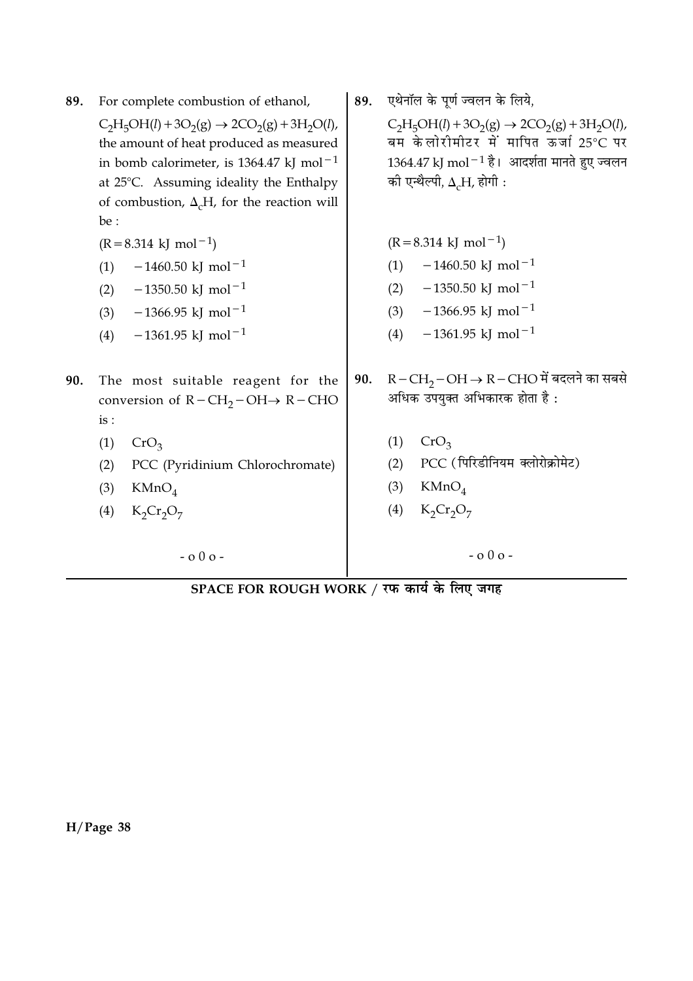| 89. | For complete combustion of ethanol,                                                                                                                                                                                                                                    |     | एथेनॉल के पूर्ण ज्वलन के लिये,                                                                                                                                                                     |
|-----|------------------------------------------------------------------------------------------------------------------------------------------------------------------------------------------------------------------------------------------------------------------------|-----|----------------------------------------------------------------------------------------------------------------------------------------------------------------------------------------------------|
|     | $C_2H_5OH(l) + 3O_2(g) \rightarrow 2CO_2(g) + 3H_2O(l)$ ,<br>the amount of heat produced as measured<br>in bomb calorimeter, is 1364.47 kJ mol <sup>-1</sup><br>at 25°C. Assuming ideality the Enthalpy<br>of combustion, $\Delta_{c}H$ , for the reaction will<br>be: |     | $C_2H_5OH(l) + 3O_2(g) \rightarrow 2CO_2(g) + 3H_2O(l)$ ,<br>बम केलोरीमीटर में मापित ऊर्जा 25°C पर<br>$1364.47$ kJ mol $^{-1}$ है। आदर्शता मानते हुए ज्वलन<br>की एन्थैल्पी, $\Delta_{c}H$ , होगी : |
|     | $(R = 8.314 \text{ kJ} \text{ mol}^{-1})$                                                                                                                                                                                                                              |     | $(R = 8.314 \text{ kJ} \text{ mol}^{-1})$                                                                                                                                                          |
|     | $-1460.50$ kJ mol <sup>-1</sup><br>(1)                                                                                                                                                                                                                                 |     | $-1460.50$ kJ mol <sup>-1</sup><br>(1)                                                                                                                                                             |
|     | $-1350.50$ kJ mol <sup>-1</sup><br>(2)                                                                                                                                                                                                                                 |     | $-1350.50$ kJ mol <sup>-1</sup><br>(2)                                                                                                                                                             |
|     | $-1366.95$ kJ mol <sup>-1</sup><br>(3)                                                                                                                                                                                                                                 |     | $-1366.95$ kJ mol <sup>-1</sup><br>(3)                                                                                                                                                             |
|     | $-1361.95$ kJ mol <sup>-1</sup><br>(4)                                                                                                                                                                                                                                 |     | $-1361.95$ kJ mol <sup>-1</sup><br>(4)                                                                                                                                                             |
| 90. | The most suitable reagent for the<br>conversion of $R - CH_2 - OH \rightarrow R -CHO$<br>is :                                                                                                                                                                          | 90. | $R-CH_2-OH \rightarrow R-CHO$ में बदलने का सबसे<br>अधिक उपयुक्त अभिकारक होता है:                                                                                                                   |
|     | (1)<br>CrO <sub>3</sub>                                                                                                                                                                                                                                                |     | (1)<br>CrO <sub>3</sub>                                                                                                                                                                            |
|     | PCC (Pyridinium Chlorochromate)<br>(2)                                                                                                                                                                                                                                 |     | PCC (पिरिडीनियम क्लोरोक्रोमेट)<br>(2)                                                                                                                                                              |
|     | (3)<br>KMnO <sub>4</sub>                                                                                                                                                                                                                                               |     | (3)<br>KMnO <sub>4</sub>                                                                                                                                                                           |
|     | $K_2Cr_2O_7$<br>(4)                                                                                                                                                                                                                                                    |     | $K_2Cr_2O_7$<br>(4)                                                                                                                                                                                |
|     | $-000-$                                                                                                                                                                                                                                                                |     | $-000-$                                                                                                                                                                                            |

SPACE FOR ROUGH WORK / रफ कार्य के लिए जगह

 $H/Page$  38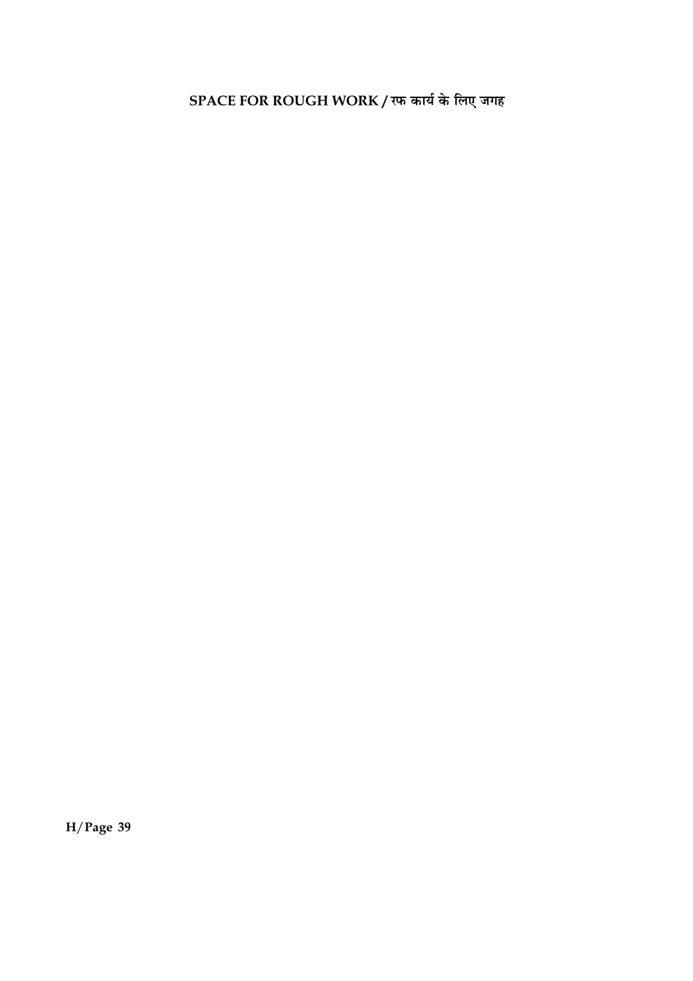SPACE FOR ROUGH WORK / रफ कार्य के लिए जगह

 $H/Page$  39